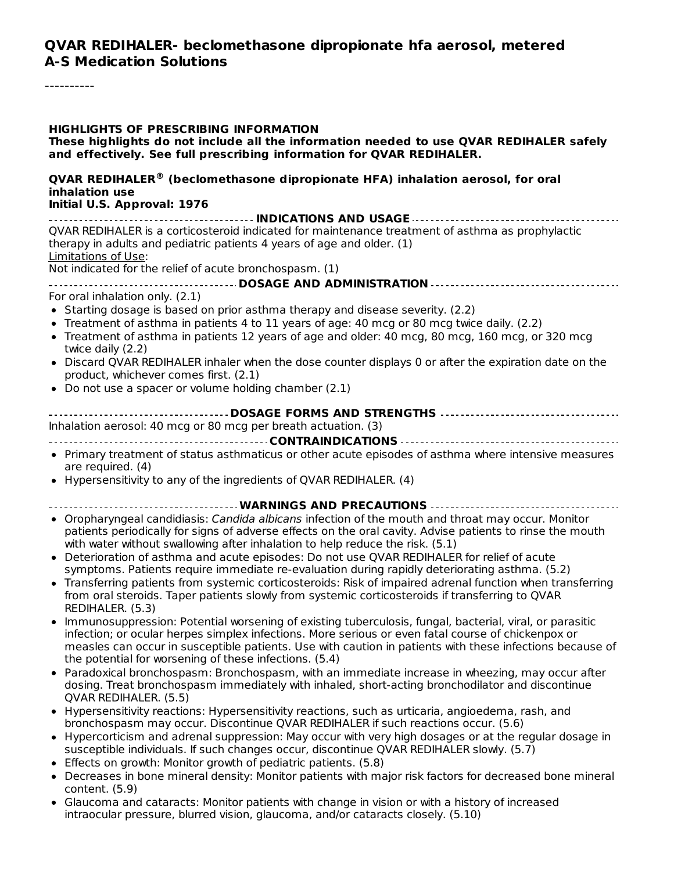#### **QVAR REDIHALER- beclomethasone dipropionate hfa aerosol, metered A-S Medication Solutions**

#### **HIGHLIGHTS OF PRESCRIBING INFORMATION**

**These highlights do not include all the information needed to use QVAR REDIHALER safely and effectively. See full prescribing information for QVAR REDIHALER.**

#### **QVAR REDIHALER (beclomethasone dipropionate HFA) inhalation aerosol, for oral ®inhalation use**

#### **Initial U.S. Approval: 1976**

**INDICATIONS AND USAGE** QVAR REDIHALER is a corticosteroid indicated for maintenance treatment of asthma as prophylactic therapy in adults and pediatric patients 4 years of age and older. (1) Limitations of Use: Not indicated for the relief of acute bronchospasm. (1) **DOSAGE AND ADMINISTRATION** For oral inhalation only. (2.1) • Starting dosage is based on prior asthma therapy and disease severity. (2.2) Treatment of asthma in patients 4 to 11 years of age: 40 mcg or 80 mcg twice daily. (2.2) Treatment of asthma in patients 12 years of age and older: 40 mcg, 80 mcg, 160 mcg, or 320 mcg twice daily (2.2) Discard QVAR REDIHALER inhaler when the dose counter displays 0 or after the expiration date on the product, whichever comes first. (2.1) Do not use a spacer or volume holding chamber (2.1) **DOSAGE FORMS AND STRENGTHS** Inhalation aerosol: 40 mcg or 80 mcg per breath actuation. (3) **CONTRAINDICATIONS** Primary treatment of status asthmaticus or other acute episodes of asthma where intensive measures are required. (4) Hypersensitivity to any of the ingredients of QVAR REDIHALER. (4) **WARNINGS AND PRECAUTIONS** • Oropharyngeal candidiasis: *Candida albicans* infection of the mouth and throat may occur. Monitor patients periodically for signs of adverse effects on the oral cavity. Advise patients to rinse the mouth with water without swallowing after inhalation to help reduce the risk. (5.1) Deterioration of asthma and acute episodes: Do not use QVAR REDIHALER for relief of acute symptoms. Patients require immediate re-evaluation during rapidly deteriorating asthma. (5.2) Transferring patients from systemic corticosteroids: Risk of impaired adrenal function when transferring from oral steroids. Taper patients slowly from systemic corticosteroids if transferring to QVAR REDIHALER. (5.3) Immunosuppression: Potential worsening of existing tuberculosis, fungal, bacterial, viral, or parasitic infection; or ocular herpes simplex infections. More serious or even fatal course of chickenpox or measles can occur in susceptible patients. Use with caution in patients with these infections because of the potential for worsening of these infections. (5.4) Paradoxical bronchospasm: Bronchospasm, with an immediate increase in wheezing, may occur after dosing. Treat bronchospasm immediately with inhaled, short-acting bronchodilator and discontinue

- QVAR REDIHALER. (5.5)
- Hypersensitivity reactions: Hypersensitivity reactions, such as urticaria, angioedema, rash, and bronchospasm may occur. Discontinue QVAR REDIHALER if such reactions occur. (5.6)
- Hypercorticism and adrenal suppression: May occur with very high dosages or at the regular dosage in susceptible individuals. If such changes occur, discontinue QVAR REDIHALER slowly. (5.7)
- Effects on growth: Monitor growth of pediatric patients. (5.8)
- Decreases in bone mineral density: Monitor patients with major risk factors for decreased bone mineral content. (5.9)
- Glaucoma and cataracts: Monitor patients with change in vision or with a history of increased intraocular pressure, blurred vision, glaucoma, and/or cataracts closely. (5.10)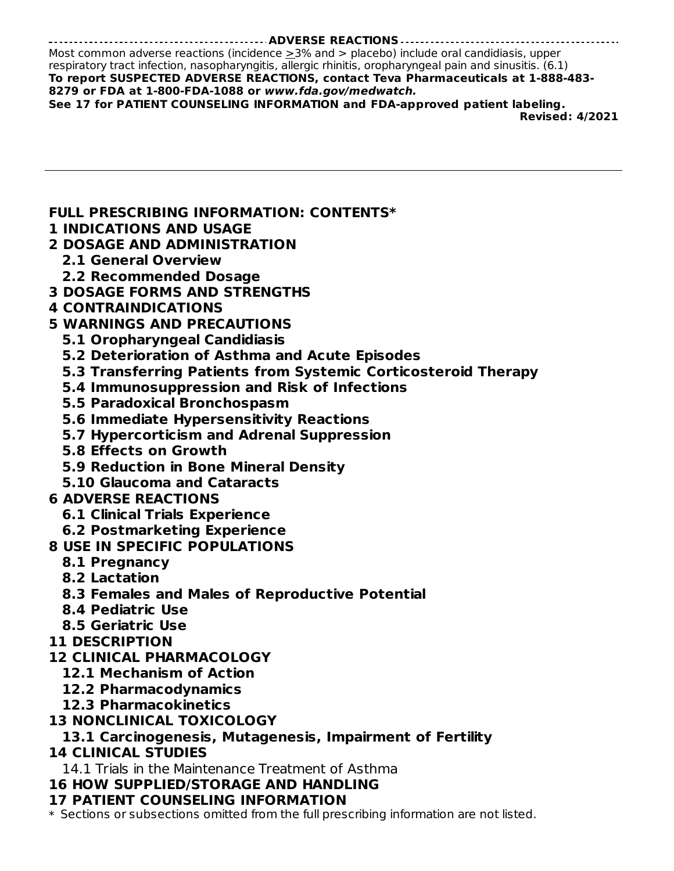#### **ADVERSE REACTIONS**

Most common adverse reactions (incidence  $\geq$ 3% and > placebo) include oral candidiasis, upper respiratory tract infection, nasopharyngitis, allergic rhinitis, oropharyngeal pain and sinusitis. (6.1) **To report SUSPECTED ADVERSE REACTIONS, contact Teva Pharmaceuticals at 1-888-483- 8279 or FDA at 1-800-FDA-1088 or www.fda.gov/medwatch. See 17 for PATIENT COUNSELING INFORMATION and FDA-approved patient labeling.**

**Revised: 4/2021**

**FULL PRESCRIBING INFORMATION: CONTENTS\***

- **1 INDICATIONS AND USAGE**
- **2 DOSAGE AND ADMINISTRATION**
	- **2.1 General Overview**
	- **2.2 Recommended Dosage**
- **3 DOSAGE FORMS AND STRENGTHS**
- **4 CONTRAINDICATIONS**
- **5 WARNINGS AND PRECAUTIONS**
	- **5.1 Oropharyngeal Candidiasis**
	- **5.2 Deterioration of Asthma and Acute Episodes**
	- **5.3 Transferring Patients from Systemic Corticosteroid Therapy**
	- **5.4 Immunosuppression and Risk of Infections**
	- **5.5 Paradoxical Bronchospasm**
	- **5.6 Immediate Hypersensitivity Reactions**
	- **5.7 Hypercorticism and Adrenal Suppression**
	- **5.8 Effects on Growth**
	- **5.9 Reduction in Bone Mineral Density**
	- **5.10 Glaucoma and Cataracts**
- **6 ADVERSE REACTIONS**
	- **6.1 Clinical Trials Experience**
	- **6.2 Postmarketing Experience**
- **8 USE IN SPECIFIC POPULATIONS**
	- **8.1 Pregnancy**
	- **8.2 Lactation**
	- **8.3 Females and Males of Reproductive Potential**
	- **8.4 Pediatric Use**
	- **8.5 Geriatric Use**
- **11 DESCRIPTION**
- **12 CLINICAL PHARMACOLOGY**
	- **12.1 Mechanism of Action**
	- **12.2 Pharmacodynamics**
	- **12.3 Pharmacokinetics**
- **13 NONCLINICAL TOXICOLOGY**

# **13.1 Carcinogenesis, Mutagenesis, Impairment of Fertility**

# **14 CLINICAL STUDIES**

14.1 Trials in the Maintenance Treatment of Asthma

# **16 HOW SUPPLIED/STORAGE AND HANDLING**

# **17 PATIENT COUNSELING INFORMATION**

\* Sections or subsections omitted from the full prescribing information are not listed.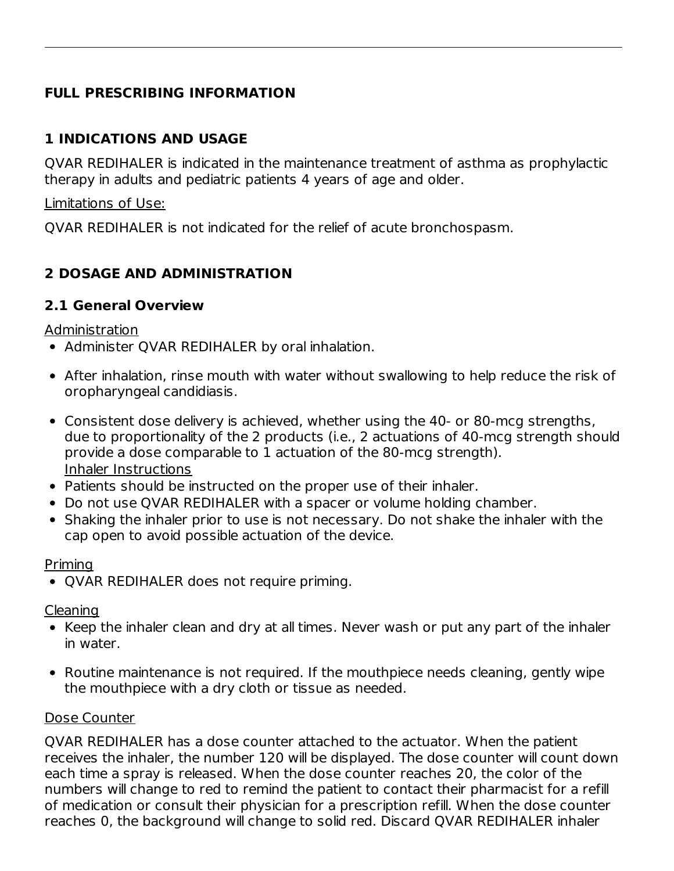# **FULL PRESCRIBING INFORMATION**

### **1 INDICATIONS AND USAGE**

QVAR REDIHALER is indicated in the maintenance treatment of asthma as prophylactic therapy in adults and pediatric patients 4 years of age and older.

Limitations of Use:

QVAR REDIHALER is not indicated for the relief of acute bronchospasm.

# **2 DOSAGE AND ADMINISTRATION**

### **2.1 General Overview**

Administration

- Administer QVAR REDIHALER by oral inhalation.
- After inhalation, rinse mouth with water without swallowing to help reduce the risk of oropharyngeal candidiasis.
- Consistent dose delivery is achieved, whether using the 40‑ or 80‑mcg strengths, due to proportionality of the 2 products (i.e., 2 actuations of 40‑mcg strength should provide a dose comparable to 1 actuation of the 80‑mcg strength). Inhaler Instructions
- Patients should be instructed on the proper use of their inhaler.
- Do not use QVAR REDIHALER with a spacer or volume holding chamber.
- Shaking the inhaler prior to use is not necessary. Do not shake the inhaler with the cap open to avoid possible actuation of the device.

### Priming

QVAR REDIHALER does not require priming.

Cleaning

- Keep the inhaler clean and dry at all times. Never wash or put any part of the inhaler in water.
- Routine maintenance is not required. If the mouthpiece needs cleaning, gently wipe the mouthpiece with a dry cloth or tissue as needed.

### Dose Counter

QVAR REDIHALER has a dose counter attached to the actuator. When the patient receives the inhaler, the number 120 will be displayed. The dose counter will count down each time a spray is released. When the dose counter reaches 20, the color of the numbers will change to red to remind the patient to contact their pharmacist for a refill of medication or consult their physician for a prescription refill. When the dose counter reaches 0, the background will change to solid red. Discard QVAR REDIHALER inhaler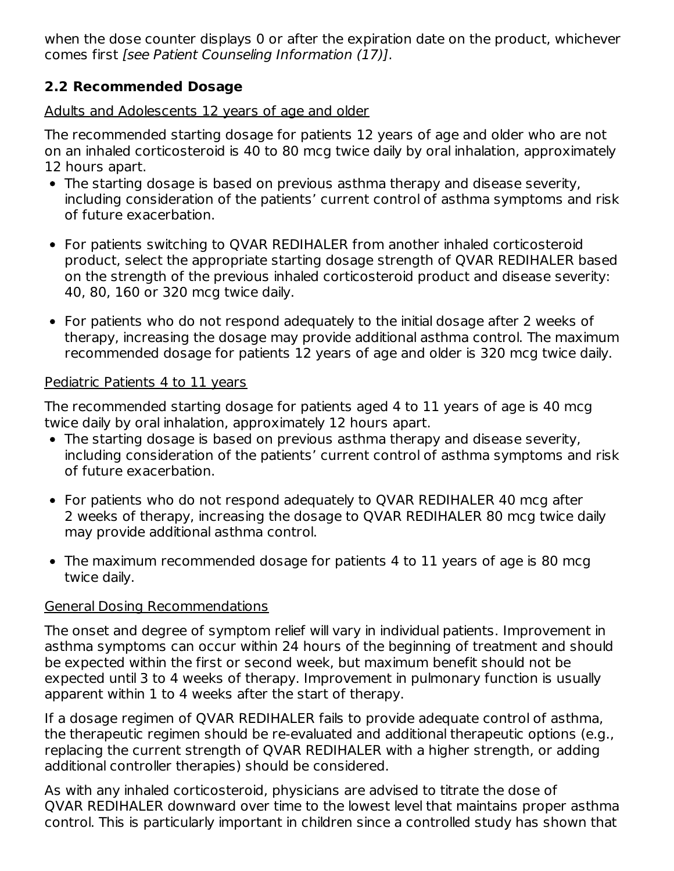when the dose counter displays 0 or after the expiration date on the product, whichever comes first [see Patient Counseling Information (17)].

### **2.2 Recommended Dosage**

Adults and Adolescents 12 years of age and older

The recommended starting dosage for patients 12 years of age and older who are not on an inhaled corticosteroid is 40 to 80 mcg twice daily by oral inhalation, approximately 12 hours apart.

- The starting dosage is based on previous asthma therapy and disease severity, including consideration of the patients' current control of asthma symptoms and risk of future exacerbation.
- For patients switching to QVAR REDIHALER from another inhaled corticosteroid product, select the appropriate starting dosage strength of QVAR REDIHALER based on the strength of the previous inhaled corticosteroid product and disease severity: 40, 80, 160 or 320 mcg twice daily.
- For patients who do not respond adequately to the initial dosage after 2 weeks of therapy, increasing the dosage may provide additional asthma control. The maximum recommended dosage for patients 12 years of age and older is 320 mcg twice daily.

### Pediatric Patients 4 to 11 years

The recommended starting dosage for patients aged 4 to 11 years of age is 40 mcg twice daily by oral inhalation, approximately 12 hours apart.

- The starting dosage is based on previous asthma therapy and disease severity, including consideration of the patients' current control of asthma symptoms and risk of future exacerbation.
- For patients who do not respond adequately to QVAR REDIHALER 40 mcg after 2 weeks of therapy, increasing the dosage to QVAR REDIHALER 80 mcg twice daily may provide additional asthma control.
- The maximum recommended dosage for patients 4 to 11 years of age is 80 mcg twice daily.

# General Dosing Recommendations

The onset and degree of symptom relief will vary in individual patients. Improvement in asthma symptoms can occur within 24 hours of the beginning of treatment and should be expected within the first or second week, but maximum benefit should not be expected until 3 to 4 weeks of therapy. Improvement in pulmonary function is usually apparent within 1 to 4 weeks after the start of therapy.

If a dosage regimen of QVAR REDIHALER fails to provide adequate control of asthma, the therapeutic regimen should be re-evaluated and additional therapeutic options (e.g., replacing the current strength of QVAR REDIHALER with a higher strength, or adding additional controller therapies) should be considered.

As with any inhaled corticosteroid, physicians are advised to titrate the dose of QVAR REDIHALER downward over time to the lowest level that maintains proper asthma control. This is particularly important in children since a controlled study has shown that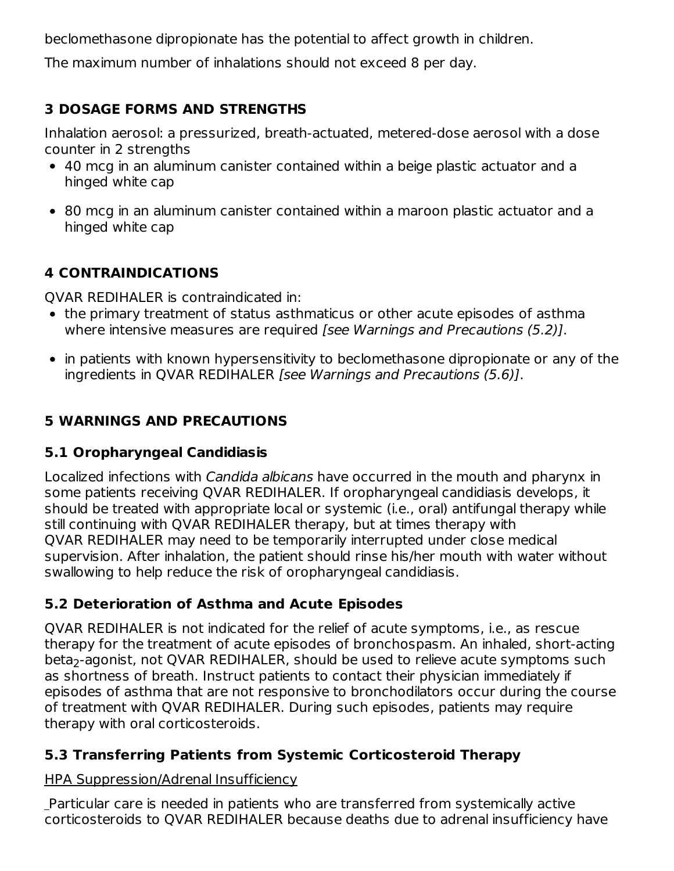beclomethasone dipropionate has the potential to affect growth in children.

The maximum number of inhalations should not exceed 8 per day.

# **3 DOSAGE FORMS AND STRENGTHS**

Inhalation aerosol: a pressurized, breath‑actuated, metered-dose aerosol with a dose counter in 2 strengths

- 40 mcg in an aluminum canister contained within a beige plastic actuator and a hinged white cap
- 80 mcg in an aluminum canister contained within a maroon plastic actuator and a hinged white cap

# **4 CONTRAINDICATIONS**

QVAR REDIHALER is contraindicated in:

- the primary treatment of status asthmaticus or other acute episodes of asthma where intensive measures are required [see Warnings and Precautions (5.2)].
- in patients with known hypersensitivity to beclomethasone dipropionate or any of the ingredients in QVAR REDIHALER [see Warnings and Precautions (5.6)].

# **5 WARNINGS AND PRECAUTIONS**

# **5.1 Oropharyngeal Candidiasis**

Localized infections with Candida albicans have occurred in the mouth and pharynx in some patients receiving QVAR REDIHALER. If oropharyngeal candidiasis develops, it should be treated with appropriate local or systemic (i.e., oral) antifungal therapy while still continuing with QVAR REDIHALER therapy, but at times therapy with QVAR REDIHALER may need to be temporarily interrupted under close medical supervision. After inhalation, the patient should rinse his/her mouth with water without swallowing to help reduce the risk of oropharyngeal candidiasis.

# **5.2 Deterioration of Asthma and Acute Episodes**

QVAR REDIHALER is not indicated for the relief of acute symptoms, i.e., as rescue therapy for the treatment of acute episodes of bronchospasm. An inhaled, short‑acting beta<sub>2</sub>-agonist, not QVAR REDIHALER, should be used to relieve acute symptoms such as shortness of breath. Instruct patients to contact their physician immediately if episodes of asthma that are not responsive to bronchodilators occur during the course of treatment with QVAR REDIHALER. During such episodes, patients may require therapy with oral corticosteroids.

# **5.3 Transferring Patients from Systemic Corticosteroid Therapy**

### HPA Suppression/Adrenal Insufficiency

Particular care is needed in patients who are transferred from systemically active corticosteroids to QVAR REDIHALER because deaths due to adrenal insufficiency have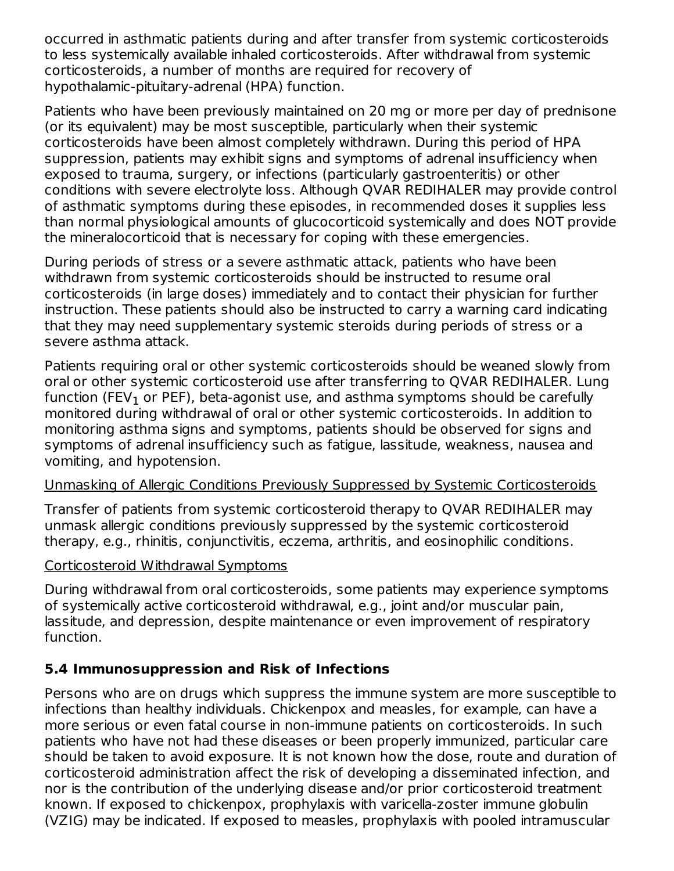occurred in asthmatic patients during and after transfer from systemic corticosteroids to less systemically available inhaled corticosteroids. After withdrawal from systemic corticosteroids, a number of months are required for recovery of hypothalamic‑pituitary‑adrenal (HPA) function.

Patients who have been previously maintained on 20 mg or more per day of prednisone (or its equivalent) may be most susceptible, particularly when their systemic corticosteroids have been almost completely withdrawn. During this period of HPA suppression, patients may exhibit signs and symptoms of adrenal insufficiency when exposed to trauma, surgery, or infections (particularly gastroenteritis) or other conditions with severe electrolyte loss. Although QVAR REDIHALER may provide control of asthmatic symptoms during these episodes, in recommended doses it supplies less than normal physiological amounts of glucocorticoid systemically and does NOT provide the mineralocorticoid that is necessary for coping with these emergencies.

During periods of stress or a severe asthmatic attack, patients who have been withdrawn from systemic corticosteroids should be instructed to resume oral corticosteroids (in large doses) immediately and to contact their physician for further instruction. These patients should also be instructed to carry a warning card indicating that they may need supplementary systemic steroids during periods of stress or a severe asthma attack.

Patients requiring oral or other systemic corticosteroids should be weaned slowly from oral or other systemic corticosteroid use after transferring to QVAR REDIHALER. Lung function (FEV $_{\rm 1}$  or PEF), beta-agonist use, and asthma symptoms should be carefully monitored during withdrawal of oral or other systemic corticosteroids. In addition to monitoring asthma signs and symptoms, patients should be observed for signs and symptoms of adrenal insufficiency such as fatigue, lassitude, weakness, nausea and vomiting, and hypotension.

### Unmasking of Allergic Conditions Previously Suppressed by Systemic Corticosteroids

Transfer of patients from systemic corticosteroid therapy to QVAR REDIHALER may unmask allergic conditions previously suppressed by the systemic corticosteroid therapy, e.g., rhinitis, conjunctivitis, eczema, arthritis, and eosinophilic conditions.

#### Corticosteroid Withdrawal Symptoms

During withdrawal from oral corticosteroids, some patients may experience symptoms of systemically active corticosteroid withdrawal, e.g., joint and/or muscular pain, lassitude, and depression, despite maintenance or even improvement of respiratory function.

### **5.4 Immunosuppression and Risk of Infections**

Persons who are on drugs which suppress the immune system are more susceptible to infections than healthy individuals. Chickenpox and measles, for example, can have a more serious or even fatal course in non-immune patients on corticosteroids. In such patients who have not had these diseases or been properly immunized, particular care should be taken to avoid exposure. It is not known how the dose, route and duration of corticosteroid administration affect the risk of developing a disseminated infection, and nor is the contribution of the underlying disease and/or prior corticosteroid treatment known. If exposed to chickenpox, prophylaxis with varicella-zoster immune globulin (VZIG) may be indicated. If exposed to measles, prophylaxis with pooled intramuscular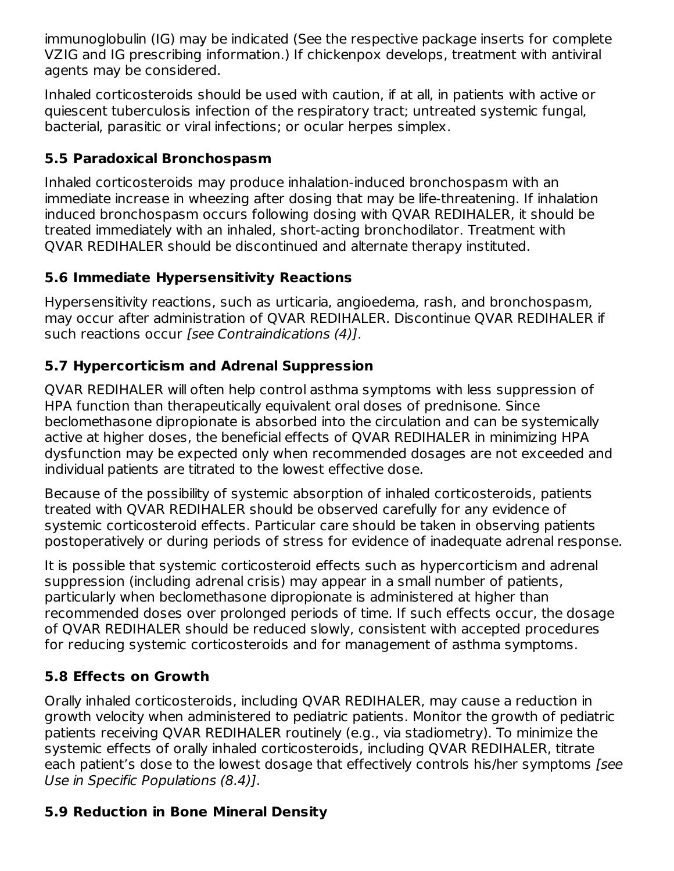immunoglobulin (IG) may be indicated (See the respective package inserts for complete VZIG and IG prescribing information.) If chickenpox develops, treatment with antiviral agents may be considered.

Inhaled corticosteroids should be used with caution, if at all, in patients with active or quiescent tuberculosis infection of the respiratory tract; untreated systemic fungal, bacterial, parasitic or viral infections; or ocular herpes simplex.

# **5.5 Paradoxical Bronchospasm**

Inhaled corticosteroids may produce inhalation‑induced bronchospasm with an immediate increase in wheezing after dosing that may be life-threatening. If inhalation induced bronchospasm occurs following dosing with QVAR REDIHALER, it should be treated immediately with an inhaled, short‑acting bronchodilator. Treatment with QVAR REDIHALER should be discontinued and alternate therapy instituted.

# **5.6 Immediate Hypersensitivity Reactions**

Hypersensitivity reactions, such as urticaria, angioedema, rash, and bronchospasm, may occur after administration of QVAR REDIHALER. Discontinue QVAR REDIHALER if such reactions occur [see Contraindications (4)].

# **5.7 Hypercorticism and Adrenal Suppression**

QVAR REDIHALER will often help control asthma symptoms with less suppression of HPA function than therapeutically equivalent oral doses of prednisone. Since beclomethasone dipropionate is absorbed into the circulation and can be systemically active at higher doses, the beneficial effects of QVAR REDIHALER in minimizing HPA dysfunction may be expected only when recommended dosages are not exceeded and individual patients are titrated to the lowest effective dose.

Because of the possibility of systemic absorption of inhaled corticosteroids, patients treated with QVAR REDIHALER should be observed carefully for any evidence of systemic corticosteroid effects. Particular care should be taken in observing patients postoperatively or during periods of stress for evidence of inadequate adrenal response.

It is possible that systemic corticosteroid effects such as hypercorticism and adrenal suppression (including adrenal crisis) may appear in a small number of patients, particularly when beclomethasone dipropionate is administered at higher than recommended doses over prolonged periods of time. If such effects occur, the dosage of QVAR REDIHALER should be reduced slowly, consistent with accepted procedures for reducing systemic corticosteroids and for management of asthma symptoms.

# **5.8 Effects on Growth**

Orally inhaled corticosteroids, including QVAR REDIHALER, may cause a reduction in growth velocity when administered to pediatric patients. Monitor the growth of pediatric patients receiving QVAR REDIHALER routinely (e.g., via stadiometry). To minimize the systemic effects of orally inhaled corticosteroids, including QVAR REDIHALER, titrate each patient's dose to the lowest dosage that effectively controls his/her symptoms [see Use in Specific Populations (8.4)].

# **5.9 Reduction in Bone Mineral Density**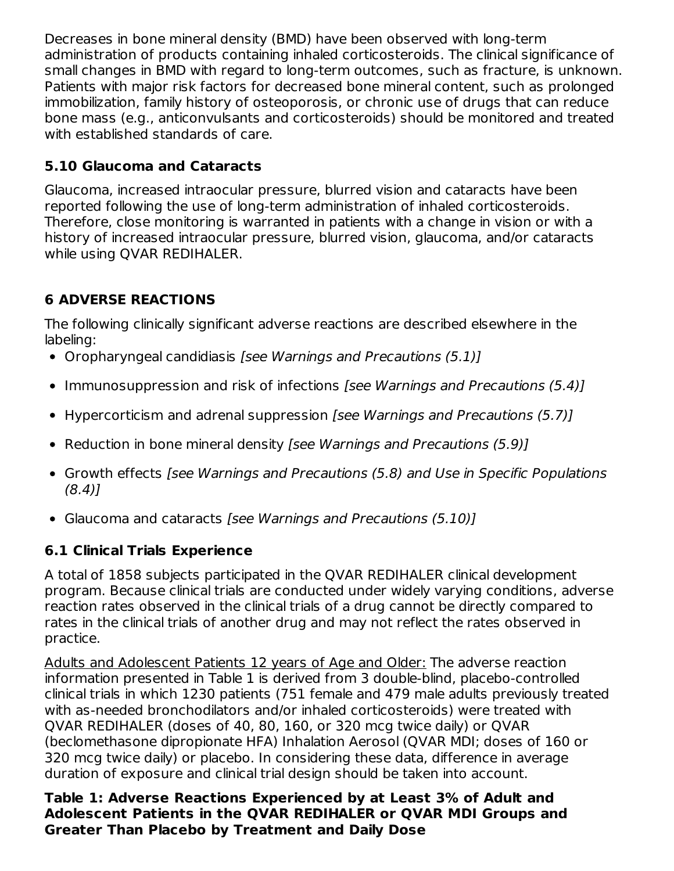Decreases in bone mineral density (BMD) have been observed with long-term administration of products containing inhaled corticosteroids. The clinical significance of small changes in BMD with regard to long-term outcomes, such as fracture, is unknown. Patients with major risk factors for decreased bone mineral content, such as prolonged immobilization, family history of osteoporosis, or chronic use of drugs that can reduce bone mass (e.g., anticonvulsants and corticosteroids) should be monitored and treated with established standards of care.

# **5.10 Glaucoma and Cataracts**

Glaucoma, increased intraocular pressure, blurred vision and cataracts have been reported following the use of long-term administration of inhaled corticosteroids. Therefore, close monitoring is warranted in patients with a change in vision or with a history of increased intraocular pressure, blurred vision, glaucoma, and/or cataracts while using QVAR REDIHALER.

# **6 ADVERSE REACTIONS**

The following clinically significant adverse reactions are described elsewhere in the labeling:

- Oropharyngeal candidiasis [see Warnings and Precautions (5.1)]
- Immunosuppression and risk of infections [see Warnings and Precautions (5.4)]
- Hypercorticism and adrenal suppression *[see Warnings and Precautions (5.7)]*
- Reduction in bone mineral density [see Warnings and Precautions (5.9)]
- Growth effects [see Warnings and Precautions (5.8) and Use in Specific Populations  $(8.4)$ ]
- Glaucoma and cataracts [see Warnings and Precautions (5.10)]

# **6.1 Clinical Trials Experience**

A total of 1858 subjects participated in the QVAR REDIHALER clinical development program. Because clinical trials are conducted under widely varying conditions, adverse reaction rates observed in the clinical trials of a drug cannot be directly compared to rates in the clinical trials of another drug and may not reflect the rates observed in practice.

Adults and Adolescent Patients 12 years of Age and Older: The adverse reaction information presented in Table 1 is derived from 3 double-blind, placebo-controlled clinical trials in which 1230 patients (751 female and 479 male adults previously treated with as-needed bronchodilators and/or inhaled corticosteroids) were treated with QVAR REDIHALER (doses of 40, 80, 160, or 320 mcg twice daily) or QVAR (beclomethasone dipropionate HFA) Inhalation Aerosol (QVAR MDI; doses of 160 or 320 mcg twice daily) or placebo. In considering these data, difference in average duration of exposure and clinical trial design should be taken into account.

**Table 1: Adverse Reactions Experienced by at Least 3% of Adult and Adolescent Patients in the QVAR REDIHALER or QVAR MDI Groups and Greater Than Placebo by Treatment and Daily Dose**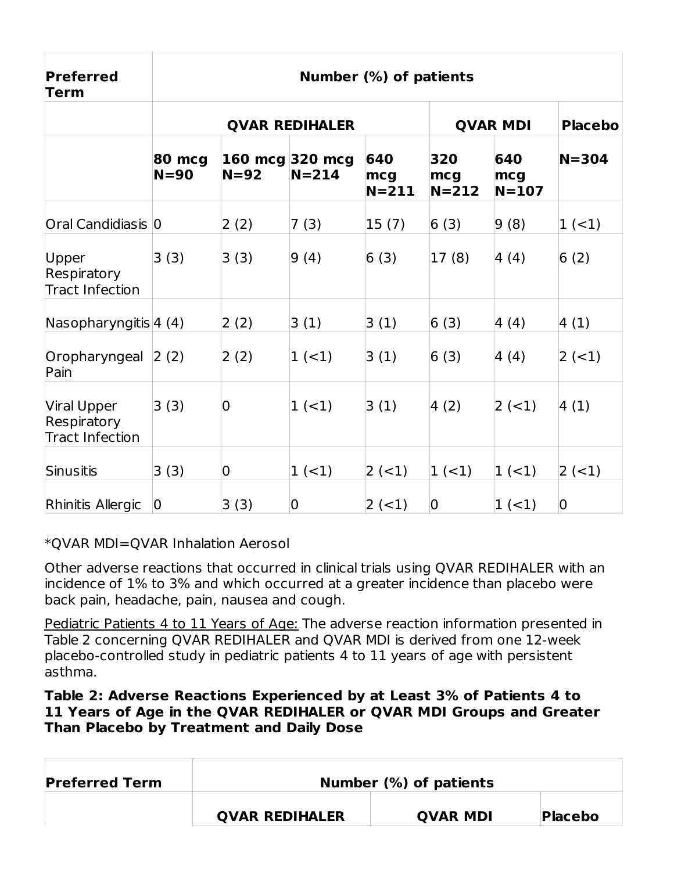| Preferred<br>Term                                    | Number (%) of patients |                |                              |                         |                         |                       |                |  |  |
|------------------------------------------------------|------------------------|----------------|------------------------------|-------------------------|-------------------------|-----------------------|----------------|--|--|
|                                                      |                        |                | <b>QVAR REDIHALER</b>        | <b>QVAR MDI</b>         |                         |                       | <b>Placebo</b> |  |  |
|                                                      | 80 mcg<br>$N = 90$     | $N=92$         | 160 mcg 320 mcg<br>$N = 214$ | 640<br>mcg<br>$N = 211$ | 320<br>mcg<br>$N = 212$ | 640<br>mcg<br>$N=107$ | $N = 304$      |  |  |
| Oral Candidiasis 0                                   |                        | 2(2)           | 7(3)                         | 15(7)                   | 6(3)                    | 9(8)                  | $1 (-1)$       |  |  |
| Upper<br>Respiratory<br><b>Tract Infection</b>       | 3(3)                   | 3(3)           | 9(4)                         | 6(3)                    | 17(8)                   | 4(4)                  | 6(2)           |  |  |
| Nasopharyngitis $ 4(4) $                             |                        | 2(2)           | 3(1)                         | 3(1)                    | 6(3)                    | 4(4)                  | 4(1)           |  |  |
| Oropharyngeal 2 (2)<br>Pain                          |                        | 2(2)           | $1 (-1)$                     | 3(1)                    | 6(3)                    | 4(4)                  | $ 2 (-1) $     |  |  |
| Viral Upper<br>Respiratory<br><b>Tract Infection</b> | 3(3)                   | $\overline{0}$ | $1 (-1)$                     | 3(1)                    | 4(2)                    | $ 2 (-1) $            | 4(1)           |  |  |
| Sinusitis                                            | 3(3)                   | $\overline{0}$ | $1 (-1)$                     | $ 2 (-1) $              | $1 (-1)$                | $ 1 (-1) $            | $2(-1)$        |  |  |
| Rhinitis Allergic                                    | $\mathbf 0$            | 3(3)           | $\mathbf 0$                  | $ 2 (-1) $              | $\mathbf 0$             | $ 1 (-1) $            | $\overline{0}$ |  |  |

\*QVAR MDI=QVAR Inhalation Aerosol

Other adverse reactions that occurred in clinical trials using QVAR REDIHALER with an incidence of 1% to 3% and which occurred at a greater incidence than placebo were back pain, headache, pain, nausea and cough.

Pediatric Patients 4 to 11 Years of Age: The adverse reaction information presented in Table 2 concerning QVAR REDIHALER and QVAR MDI is derived from one 12‑week placebo-controlled study in pediatric patients 4 to 11 years of age with persistent asthma.

#### **Table 2: Adverse Reactions Experienced by at Least 3% of Patients 4 to 11 Years of Age in the QVAR REDIHALER or QVAR MDI Groups and Greater Than Placebo by Treatment and Daily Dose**

| <b>Preferred Term</b> |                       | Number $(\%)$ of patients |                |  |  |  |
|-----------------------|-----------------------|---------------------------|----------------|--|--|--|
|                       | <b>QVAR REDIHALER</b> | <b>OVAR MDI</b>           | <b>Placebo</b> |  |  |  |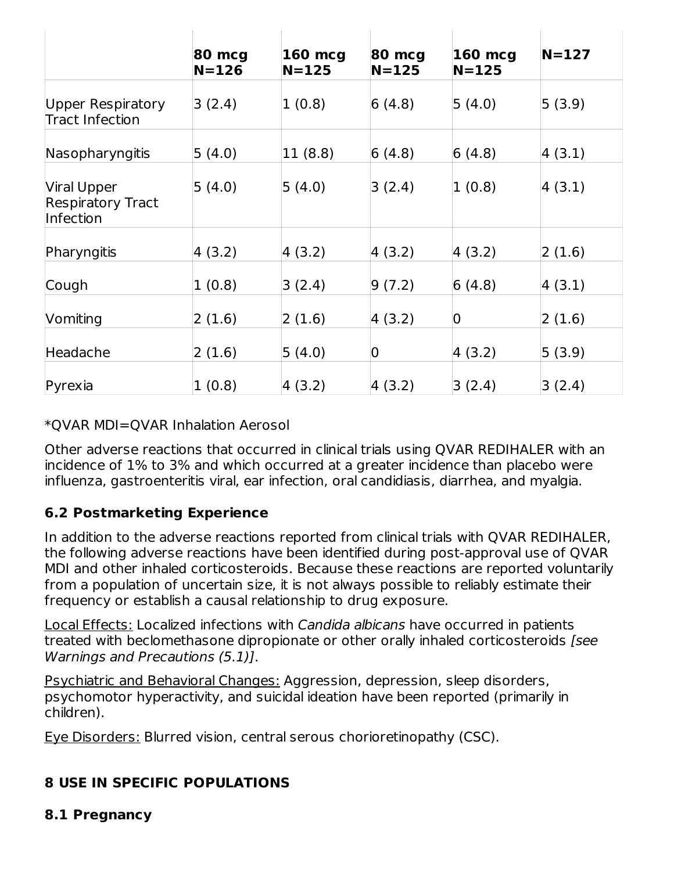|                                                      | 80 mcg<br>$N = 126$ | <b>160 mcg</b><br>$N = 125$ | 80 mcg<br>$N = 125$ | 160 mcg<br>$N=125$ | $N=127$ |
|------------------------------------------------------|---------------------|-----------------------------|---------------------|--------------------|---------|
| Upper Respiratory<br><b>Tract Infection</b>          | 3(2.4)              | 1(0.8)                      | 6(4.8)              | 5(4.0)             | 5(3.9)  |
| Nasopharyngitis                                      | 5(4.0)              | 11 (8.8)                    | 6(4.8)              | 6(4.8)             | 4(3.1)  |
| Viral Upper<br><b>Respiratory Tract</b><br>Infection | 5(4.0)              | 5(4.0)                      | 3(2.4)              | 1(0.8)             | 4(3.1)  |
| Pharyngitis                                          | 4(3.2)              | 4(3.2)                      | 4 (3.2)             | 4(3.2)             | 2(1.6)  |
| Cough                                                | 1(0.8)              | 3(2.4)                      | 9(7.2)              | 6(4.8)             | 4(3.1)  |
| Vomiting                                             | 2(1.6)              | 2(1.6)                      | 4(3.2)              | $\boldsymbol{0}$   | 2(1.6)  |
| Headache                                             | 2(1.6)              | 5(4.0)                      | $\overline{0}$      | 4(3.2)             | 5(3.9)  |
| Pyrexia                                              | 1(0.8)              | 4(3.2)                      | 4(3.2)              | 3(2.4)             | 3(2.4)  |

\*QVAR MDI=QVAR Inhalation Aerosol

Other adverse reactions that occurred in clinical trials using QVAR REDIHALER with an incidence of 1% to 3% and which occurred at a greater incidence than placebo were influenza, gastroenteritis viral, ear infection, oral candidiasis, diarrhea, and myalgia.

# **6.2 Postmarketing Experience**

In addition to the adverse reactions reported from clinical trials with QVAR REDIHALER, the following adverse reactions have been identified during post-approval use of QVAR MDI and other inhaled corticosteroids. Because these reactions are reported voluntarily from a population of uncertain size, it is not always possible to reliably estimate their frequency or establish a causal relationship to drug exposure.

Local Effects: Localized infections with Candida albicans have occurred in patients treated with beclomethasone dipropionate or other orally inhaled corticosteroids [see Warnings and Precautions (5.1)].

Psychiatric and Behavioral Changes: Aggression, depression, sleep disorders, psychomotor hyperactivity, and suicidal ideation have been reported (primarily in children).

Eye Disorders: Blurred vision, central serous chorioretinopathy (CSC).

# **8 USE IN SPECIFIC POPULATIONS**

**8.1 Pregnancy**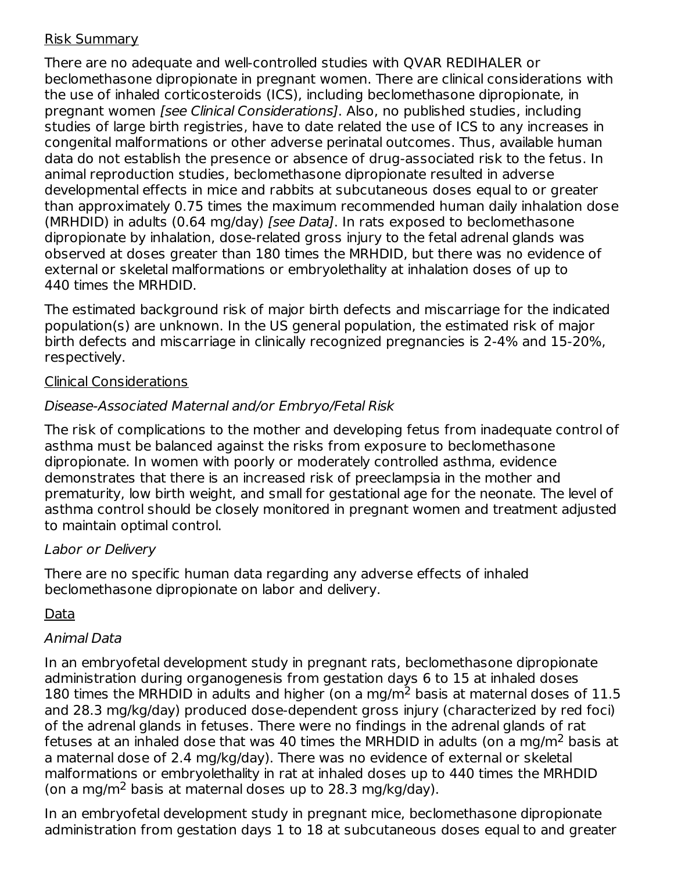### Risk Summary

There are no adequate and well‑controlled studies with QVAR REDIHALER or beclomethasone dipropionate in pregnant women. There are clinical considerations with the use of inhaled corticosteroids (ICS), including beclomethasone dipropionate, in pregnant women [see Clinical Considerations]. Also, no published studies, including studies of large birth registries, have to date related the use of ICS to any increases in congenital malformations or other adverse perinatal outcomes. Thus, available human data do not establish the presence or absence of drug‑associated risk to the fetus. In animal reproduction studies, beclomethasone dipropionate resulted in adverse developmental effects in mice and rabbits at subcutaneous doses equal to or greater than approximately 0.75 times the maximum recommended human daily inhalation dose (MRHDID) in adults (0.64 mg/day) [see Data]. In rats exposed to beclomethasone dipropionate by inhalation, dose-related gross injury to the fetal adrenal glands was observed at doses greater than 180 times the MRHDID, but there was no evidence of external or skeletal malformations or embryolethality at inhalation doses of up to 440 times the MRHDID.

The estimated background risk of major birth defects and miscarriage for the indicated population(s) are unknown. In the US general population, the estimated risk of major birth defects and miscarriage in clinically recognized pregnancies is 2‑4% and 15‑20%, respectively.

### Clinical Considerations

# Disease-Associated Maternal and/or Embryo/Fetal Risk

The risk of complications to the mother and developing fetus from inadequate control of asthma must be balanced against the risks from exposure to beclomethasone dipropionate. In women with poorly or moderately controlled asthma, evidence demonstrates that there is an increased risk of preeclampsia in the mother and prematurity, low birth weight, and small for gestational age for the neonate. The level of asthma control should be closely monitored in pregnant women and treatment adjusted to maintain optimal control.

# Labor or Delivery

There are no specific human data regarding any adverse effects of inhaled beclomethasone dipropionate on labor and delivery.

# Data

# Animal Data

In an embryofetal development study in pregnant rats, beclomethasone dipropionate administration during organogenesis from gestation days 6 to 15 at inhaled doses 180 times the MRHDID in adults and higher (on a mg/m<sup>2</sup> basis at maternal doses of 11.5 and 28.3 mg/kg/day) produced dose‑dependent gross injury (characterized by red foci) of the adrenal glands in fetuses. There were no findings in the adrenal glands of rat fetuses at an inhaled dose that was 40 times the MRHDID in adults (on a mg/m<sup>2</sup> basis at a maternal dose of 2.4 mg/kg/day). There was no evidence of external or skeletal malformations or embryolethality in rat at inhaled doses up to 440 times the MRHDID (on a mg/m<sup>2</sup> basis at maternal doses up to 28.3 mg/kg/day).

In an embryofetal development study in pregnant mice, beclomethasone dipropionate administration from gestation days 1 to 18 at subcutaneous doses equal to and greater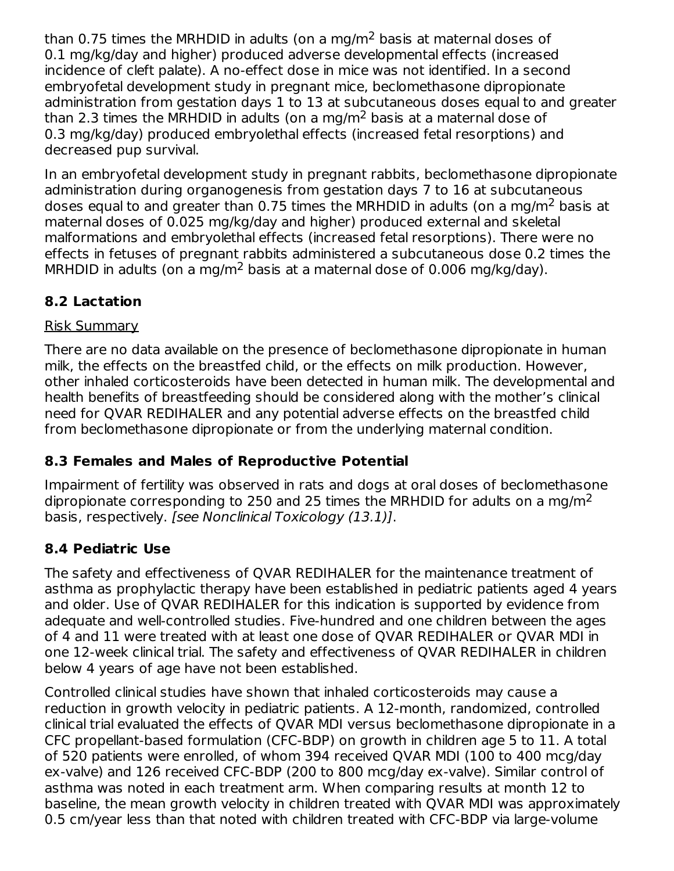than 0.75 times the MRHDID in adults (on a mg/m<sup>2</sup> basis at maternal doses of 0.1 mg/kg/day and higher) produced adverse developmental effects (increased incidence of cleft palate). A no-effect dose in mice was not identified. In a second embryofetal development study in pregnant mice, beclomethasone dipropionate administration from gestation days 1 to 13 at subcutaneous doses equal to and greater than 2.3 times the MRHDID in adults (on a mg/m<sup>2</sup> basis at a maternal dose of 0.3 mg/kg/day) produced embryolethal effects (increased fetal resorptions) and decreased pup survival.

In an embryofetal development study in pregnant rabbits, beclomethasone dipropionate administration during organogenesis from gestation days 7 to 16 at subcutaneous doses equal to and greater than 0.75 times the MRHDID in adults (on a mg/m<sup>2</sup> basis at maternal doses of 0.025 mg/kg/day and higher) produced external and skeletal malformations and embryolethal effects (increased fetal resorptions). There were no effects in fetuses of pregnant rabbits administered a subcutaneous dose 0.2 times the MRHDID in adults (on a mg/m<sup>2</sup> basis at a maternal dose of 0.006 mg/kg/day).

# **8.2 Lactation**

### Risk Summary

There are no data available on the presence of beclomethasone dipropionate in human milk, the effects on the breastfed child, or the effects on milk production. However, other inhaled corticosteroids have been detected in human milk. The developmental and health benefits of breastfeeding should be considered along with the mother's clinical need for QVAR REDIHALER and any potential adverse effects on the breastfed child from beclomethasone dipropionate or from the underlying maternal condition.

# **8.3 Females and Males of Reproductive Potential**

Impairment of fertility was observed in rats and dogs at oral doses of beclomethasone dipropionate corresponding to 250 and 25 times the MRHDID for adults on a mg/m<sup>2</sup> basis, respectively. [see Nonclinical Toxicology (13.1)].

# **8.4 Pediatric Use**

The safety and effectiveness of QVAR REDIHALER for the maintenance treatment of asthma as prophylactic therapy have been established in pediatric patients aged 4 years and older. Use of QVAR REDIHALER for this indication is supported by evidence from adequate and well-controlled studies. Five-hundred and one children between the ages of 4 and 11 were treated with at least one dose of QVAR REDIHALER or QVAR MDI in one 12‑week clinical trial. The safety and effectiveness of QVAR REDIHALER in children below 4 years of age have not been established.

Controlled clinical studies have shown that inhaled corticosteroids may cause a reduction in growth velocity in pediatric patients. A 12‑month, randomized, controlled clinical trial evaluated the effects of QVAR MDI versus beclomethasone dipropionate in a CFC propellant‑based formulation (CFC‑BDP) on growth in children age 5 to 11. A total of 520 patients were enrolled, of whom 394 received QVAR MDI (100 to 400 mcg/day ex-valve) and 126 received CFC-BDP (200 to 800 mcg/day ex-valve). Similar control of asthma was noted in each treatment arm. When comparing results at month 12 to baseline, the mean growth velocity in children treated with QVAR MDI was approximately 0.5 cm/year less than that noted with children treated with CFC‑BDP via large‑volume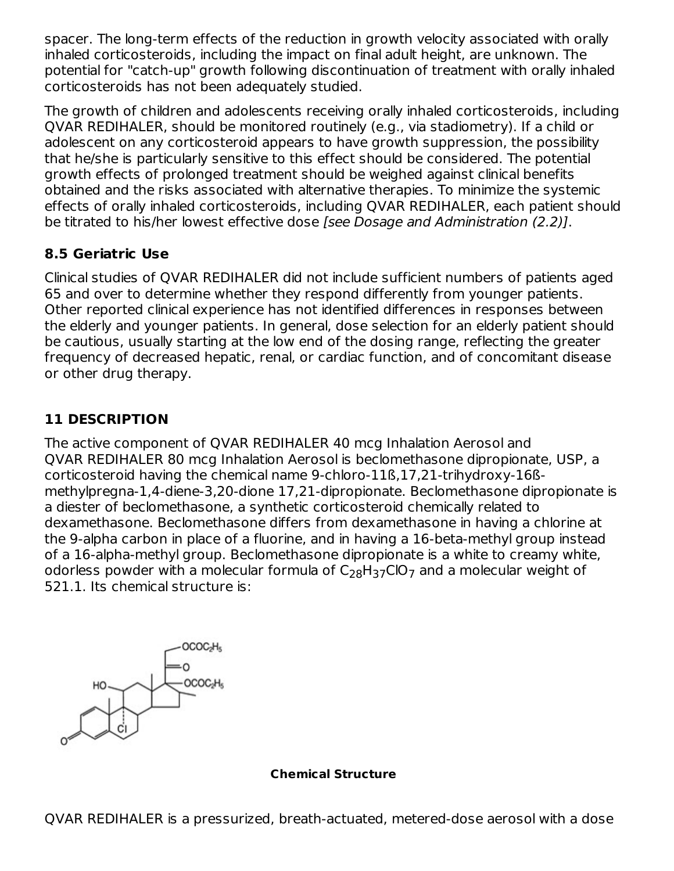spacer. The long-term effects of the reduction in growth velocity associated with orally inhaled corticosteroids, including the impact on final adult height, are unknown. The potential for "catch‑up" growth following discontinuation of treatment with orally inhaled corticosteroids has not been adequately studied.

The growth of children and adolescents receiving orally inhaled corticosteroids, including QVAR REDIHALER, should be monitored routinely (e.g., via stadiometry). If a child or adolescent on any corticosteroid appears to have growth suppression, the possibility that he/she is particularly sensitive to this effect should be considered. The potential growth effects of prolonged treatment should be weighed against clinical benefits obtained and the risks associated with alternative therapies. To minimize the systemic effects of orally inhaled corticosteroids, including QVAR REDIHALER, each patient should be titrated to his/her lowest effective dose [see Dosage and Administration (2.2)].

# **8.5 Geriatric Use**

Clinical studies of QVAR REDIHALER did not include sufficient numbers of patients aged 65 and over to determine whether they respond differently from younger patients. Other reported clinical experience has not identified differences in responses between the elderly and younger patients. In general, dose selection for an elderly patient should be cautious, usually starting at the low end of the dosing range, reflecting the greater frequency of decreased hepatic, renal, or cardiac function, and of concomitant disease or other drug therapy.

# **11 DESCRIPTION**

The active component of QVAR REDIHALER 40 mcg Inhalation Aerosol and QVAR REDIHALER 80 mcg Inhalation Aerosol is beclomethasone dipropionate, USP, a corticosteroid having the chemical name 9-chloro-11ß,17,21-trihydroxy-16ßmethylpregna-1,4-diene-3,20-dione 17,21-dipropionate. Beclomethasone dipropionate is a diester of beclomethasone, a synthetic corticosteroid chemically related to dexamethasone. Beclomethasone differs from dexamethasone in having a chlorine at the 9‑alpha carbon in place of a fluorine, and in having a 16‑beta-methyl group instead of a 16‑alpha-methyl group. Beclomethasone dipropionate is a white to creamy white, odorless powder with a molecular formula of  $\mathsf{C}_{28}\mathsf{H}_{37}\mathsf{ClO}_7$  and a molecular weight of 521.1. Its chemical structure is:



**Chemical Structure**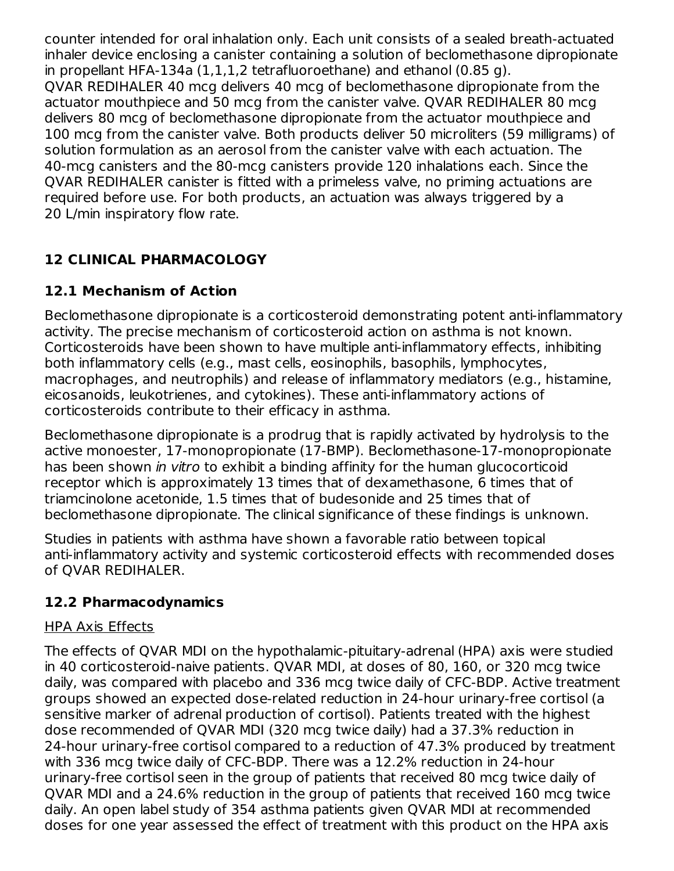counter intended for oral inhalation only. Each unit consists of a sealed breath‑actuated inhaler device enclosing a canister containing a solution of beclomethasone dipropionate in propellant HFA‑134a (1,1,1,2 tetrafluoroethane) and ethanol (0.85 g). QVAR REDIHALER 40 mcg delivers 40 mcg of beclomethasone dipropionate from the actuator mouthpiece and 50 mcg from the canister valve. QVAR REDIHALER 80 mcg delivers 80 mcg of beclomethasone dipropionate from the actuator mouthpiece and 100 mcg from the canister valve. Both products deliver 50 microliters (59 milligrams) of solution formulation as an aerosol from the canister valve with each actuation. The 40‑mcg canisters and the 80‑mcg canisters provide 120 inhalations each. Since the QVAR REDIHALER canister is fitted with a primeless valve, no priming actuations are required before use. For both products, an actuation was always triggered by a 20 L/min inspiratory flow rate.

# **12 CLINICAL PHARMACOLOGY**

# **12.1 Mechanism of Action**

Beclomethasone dipropionate is a corticosteroid demonstrating potent anti-inflammatory activity. The precise mechanism of corticosteroid action on asthma is not known. Corticosteroids have been shown to have multiple anti‑inflammatory effects, inhibiting both inflammatory cells (e.g., mast cells, eosinophils, basophils, lymphocytes, macrophages, and neutrophils) and release of inflammatory mediators (e.g., histamine, eicosanoids, leukotrienes, and cytokines). These anti‑inflammatory actions of corticosteroids contribute to their efficacy in asthma.

Beclomethasone dipropionate is a prodrug that is rapidly activated by hydrolysis to the active monoester, 17‑monopropionate (17‑BMP). Beclomethasone‑17‑monopropionate has been shown *in vitro* to exhibit a binding affinity for the human glucocorticoid receptor which is approximately 13 times that of dexamethasone, 6 times that of triamcinolone acetonide, 1.5 times that of budesonide and 25 times that of beclomethasone dipropionate. The clinical significance of these findings is unknown.

Studies in patients with asthma have shown a favorable ratio between topical anti‑inflammatory activity and systemic corticosteroid effects with recommended doses of QVAR REDIHALER.

# **12.2 Pharmacodynamics**

# HPA Axis Effects

The effects of QVAR MDI on the hypothalamic‑pituitary‑adrenal (HPA) axis were studied in 40 corticosteroid-naive patients. QVAR MDI, at doses of 80, 160, or 320 mcg twice daily, was compared with placebo and 336 mcg twice daily of CFC‑BDP. Active treatment groups showed an expected dose‑related reduction in 24‑hour urinary-free cortisol (a sensitive marker of adrenal production of cortisol). Patients treated with the highest dose recommended of QVAR MDI (320 mcg twice daily) had a 37.3% reduction in 24‑hour urinary‑free cortisol compared to a reduction of 47.3% produced by treatment with 336 mcg twice daily of CFC‑BDP. There was a 12.2% reduction in 24‑hour urinary‑free cortisol seen in the group of patients that received 80 mcg twice daily of QVAR MDI and a 24.6% reduction in the group of patients that received 160 mcg twice daily. An open label study of 354 asthma patients given QVAR MDI at recommended doses for one year assessed the effect of treatment with this product on the HPA axis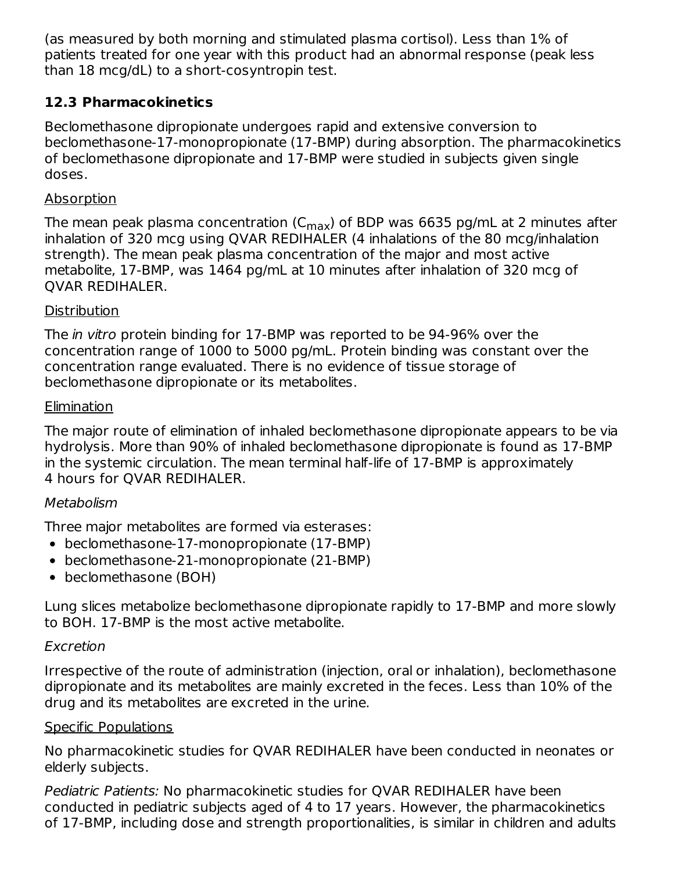(as measured by both morning and stimulated plasma cortisol). Less than 1% of patients treated for one year with this product had an abnormal response (peak less than 18 mcg/dL) to a short-cosyntropin test.

# **12.3 Pharmacokinetics**

Beclomethasone dipropionate undergoes rapid and extensive conversion to beclomethasone‑17‑monopropionate (17‑BMP) during absorption. The pharmacokinetics of beclomethasone dipropionate and 17‑BMP were studied in subjects given single doses.

### **Absorption**

The mean peak plasma concentration (C $_{\sf max}$ ) of BDP was 6635 pg/mL at 2 minutes after inhalation of 320 mcg using QVAR REDIHALER (4 inhalations of the 80 mcg/inhalation strength). The mean peak plasma concentration of the major and most active metabolite, 17-BMP, was 1464 pg/mL at 10 minutes after inhalation of 320 mcg of QVAR REDIHALER.

### **Distribution**

The *in vitro* protein binding for 17-BMP was reported to be 94-96% over the concentration range of 1000 to 5000 pg/mL. Protein binding was constant over the concentration range evaluated. There is no evidence of tissue storage of beclomethasone dipropionate or its metabolites.

### **Elimination**

The major route of elimination of inhaled beclomethasone dipropionate appears to be via hydrolysis. More than 90% of inhaled beclomethasone dipropionate is found as 17‑BMP in the systemic circulation. The mean terminal half‑life of 17‑BMP is approximately 4 hours for QVAR REDIHALER.

# Metabolism

Three major metabolites are formed via esterases:

- beclomethasone-17-monopropionate (17-BMP)
- beclomethasone-21-monopropionate (21-BMP)
- beclomethasone (BOH)

Lung slices metabolize beclomethasone dipropionate rapidly to 17‑BMP and more slowly to BOH. 17‑BMP is the most active metabolite.

# Excretion

Irrespective of the route of administration (injection, oral or inhalation), beclomethasone dipropionate and its metabolites are mainly excreted in the feces. Less than 10% of the drug and its metabolites are excreted in the urine.

### Specific Populations

No pharmacokinetic studies for QVAR REDIHALER have been conducted in neonates or elderly subjects.

Pediatric Patients: No pharmacokinetic studies for QVAR REDIHALER have been conducted in pediatric subjects aged of 4 to 17 years. However, the pharmacokinetics of 17‑BMP, including dose and strength proportionalities, is similar in children and adults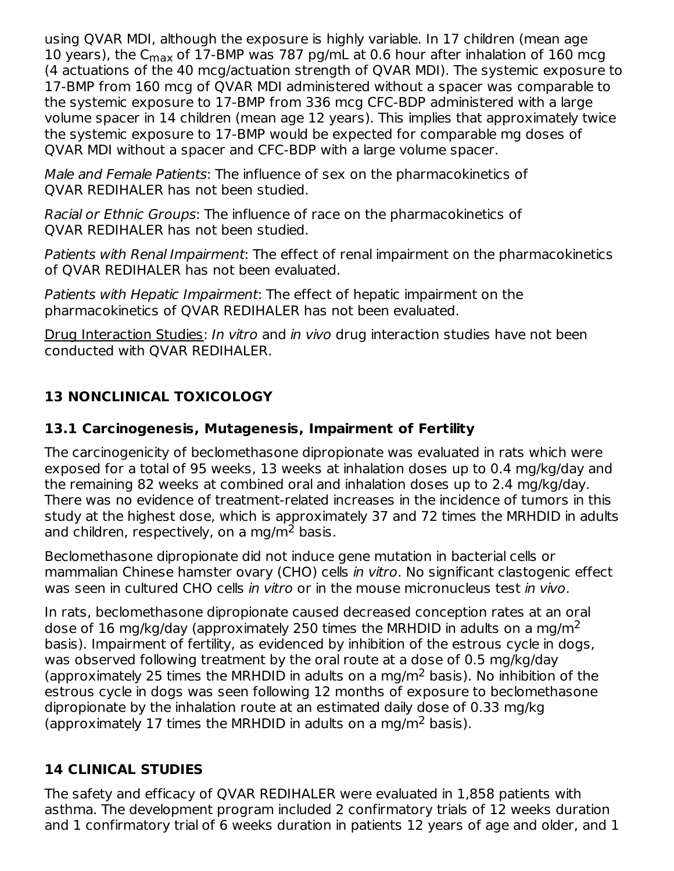using QVAR MDI, although the exposure is highly variable. In 17 children (mean age 10 years), the C<sub>max</sub> of 17-BMP was 787 pg/mL at 0.6 hour after inhalation of 160 mcg (4 actuations of the 40 mcg/actuation strength of QVAR MDI). The systemic exposure to 17‑BMP from 160 mcg of QVAR MDI administered without a spacer was comparable to the systemic exposure to 17‑BMP from 336 mcg CFC‑BDP administered with a large volume spacer in 14 children (mean age 12 years). This implies that approximately twice the systemic exposure to 17‑BMP would be expected for comparable mg doses of QVAR MDI without a spacer and CFC‑BDP with a large volume spacer.

Male and Female Patients: The influence of sex on the pharmacokinetics of QVAR REDIHALER has not been studied.

Racial or Ethnic Groups: The influence of race on the pharmacokinetics of QVAR REDIHALER has not been studied.

Patients with Renal Impairment: The effect of renal impairment on the pharmacokinetics of QVAR REDIHALER has not been evaluated.

Patients with Hepatic Impairment: The effect of hepatic impairment on the pharmacokinetics of QVAR REDIHALER has not been evaluated.

Drug Interaction Studies: In vitro and in vivo drug interaction studies have not been conducted with QVAR REDIHALER.

# **13 NONCLINICAL TOXICOLOGY**

# **13.1 Carcinogenesis, Mutagenesis, Impairment of Fertility**

The carcinogenicity of beclomethasone dipropionate was evaluated in rats which were exposed for a total of 95 weeks, 13 weeks at inhalation doses up to 0.4 mg/kg/day and the remaining 82 weeks at combined oral and inhalation doses up to 2.4 mg/kg/day. There was no evidence of treatment‑related increases in the incidence of tumors in this study at the highest dose, which is approximately 37 and 72 times the MRHDID in adults and children, respectively, on a mg/m<sup>2</sup> basis.

Beclomethasone dipropionate did not induce gene mutation in bacterial cells or mammalian Chinese hamster ovary (CHO) cells in vitro. No significant clastogenic effect was seen in cultured CHO cells *in vitro* or in the mouse micronucleus test *in vivo*.

In rats, beclomethasone dipropionate caused decreased conception rates at an oral dose of 16 mg/kg/day (approximately 250 times the MRHDID in adults on a mg/m<sup>2</sup> basis). Impairment of fertility, as evidenced by inhibition of the estrous cycle in dogs, was observed following treatment by the oral route at a dose of 0.5 mg/kg/day (approximately 25 times the MRHDID in adults on a mg/m<sup>2</sup> basis). No inhibition of the estrous cycle in dogs was seen following 12 months of exposure to beclomethasone dipropionate by the inhalation route at an estimated daily dose of 0.33 mg/kg (approximately 17 times the MRHDID in adults on a mg/m<sup>2</sup> basis).

# **14 CLINICAL STUDIES**

The safety and efficacy of QVAR REDIHALER were evaluated in 1,858 patients with asthma. The development program included 2 confirmatory trials of 12 weeks duration and 1 confirmatory trial of 6 weeks duration in patients 12 years of age and older, and 1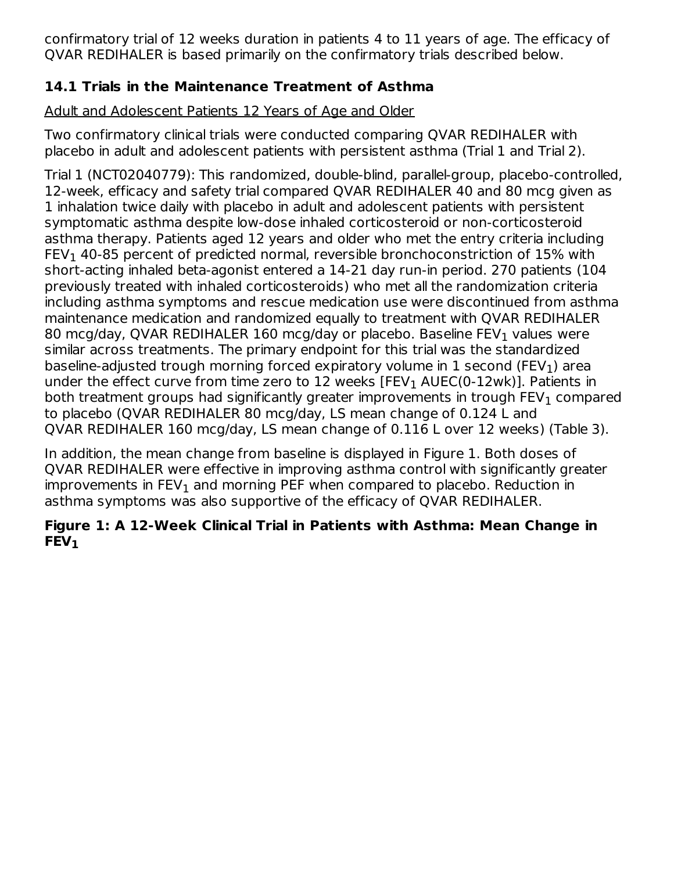confirmatory trial of 12 weeks duration in patients 4 to 11 years of age. The efficacy of QVAR REDIHALER is based primarily on the confirmatory trials described below.

# **14.1 Trials in the Maintenance Treatment of Asthma**

Adult and Adolescent Patients 12 Years of Age and Older

Two confirmatory clinical trials were conducted comparing QVAR REDIHALER with placebo in adult and adolescent patients with persistent asthma (Trial 1 and Trial 2).

Trial 1 (NCT02040779): This randomized, double-blind, parallel-group, placebo-controlled, 12-week, efficacy and safety trial compared QVAR REDIHALER 40 and 80 mcg given as 1 inhalation twice daily with placebo in adult and adolescent patients with persistent symptomatic asthma despite low-dose inhaled corticosteroid or non-corticosteroid asthma therapy. Patients aged 12 years and older who met the entry criteria including FEV $_{\rm 1}$  40-85 percent of predicted normal, reversible bronchoconstriction of 15% with short-acting inhaled beta-agonist entered a 14-21 day run-in period. 270 patients (104 previously treated with inhaled corticosteroids) who met all the randomization criteria including asthma symptoms and rescue medication use were discontinued from asthma maintenance medication and randomized equally to treatment with QVAR REDIHALER 80 mcg/day, QVAR REDIHALER 160 mcg/day or placebo. Baseline FEV $_{\rm 1}$  values were similar across treatments. The primary endpoint for this trial was the standardized baseline-adjusted trough morning forced expiratory volume in  $1$  second (FEV $_{\rm 1}$ ) area under the effect curve from time zero to 12 weeks  $[FEV<sub>1</sub> AUEC(0-12wk)]$ . Patients in both treatment groups had significantly greater improvements in trough  $\mathsf{FEV}_1$  compared to placebo (QVAR REDIHALER 80 mcg/day, LS mean change of 0.124 L and QVAR REDIHALER 160 mcg/day, LS mean change of 0.116 L over 12 weeks) (Table 3).

In addition, the mean change from baseline is displayed in Figure 1. Both doses of QVAR REDIHALER were effective in improving asthma control with significantly greater improvements in  $FEV_1$  and morning PEF when compared to placebo. Reduction in asthma symptoms was also supportive of the efficacy of QVAR REDIHALER.

# **Figure 1: A 12‑Week Clinical Trial in Patients with Asthma: Mean Change in FEV 1**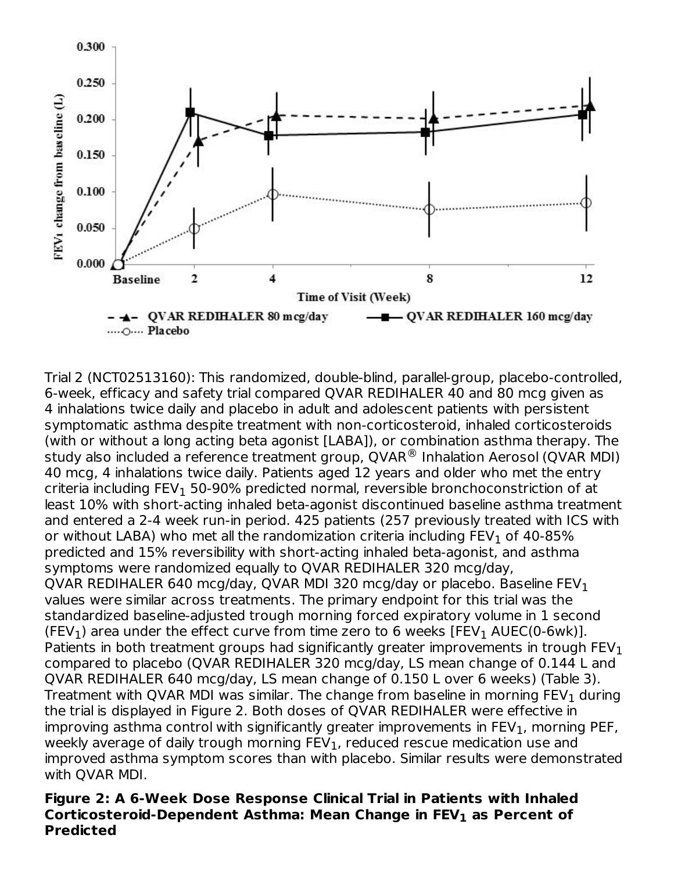

Trial 2 (NCT02513160): This randomized, double-blind, parallel-group, placebo-controlled, 6-week, efficacy and safety trial compared QVAR REDIHALER 40 and 80 mcg given as 4 inhalations twice daily and placebo in adult and adolescent patients with persistent symptomatic asthma despite treatment with non-corticosteroid, inhaled corticosteroids (with or without a long acting beta agonist [LABA]), or combination asthma therapy. The study also included a reference treatment group, QVAR $^{\circledR}$  Inhalation Aerosol (QVAR MDI) 40 mcg, 4 inhalations twice daily. Patients aged 12 years and older who met the entry criteria including FEV $_{\rm 1}$  50-90% predicted normal, reversible bronchoconstriction of at least 10% with short-acting inhaled beta-agonist discontinued baseline asthma treatment and entered a 2-4 week run-in period. 425 patients (257 previously treated with ICS with or without LABA) who met all the randomization criteria including  $\mathsf{FEV}_1$  of 40-85% predicted and 15% reversibility with short-acting inhaled beta-agonist, and asthma symptoms were randomized equally to QVAR REDIHALER 320 mcg/day, QVAR REDIHALER 640 mcg/day, QVAR MDI 320 mcg/day or placebo. Baseline FEV $_{\rm 1}$ values were similar across treatments. The primary endpoint for this trial was the standardized baseline-adjusted trough morning forced expiratory volume in 1 second (FEV<sub>1</sub>) area under the effect curve from time zero to 6 weeks [FEV<sub>1</sub> AUEC(0-6wk)]. Patients in both treatment groups had significantly greater improvements in trough  $\mathsf{FEV}_1$ compared to placebo (QVAR REDIHALER 320 mcg/day, LS mean change of 0.144 L and QVAR REDIHALER 640 mcg/day, LS mean change of 0.150 L over 6 weeks) (Table 3). Treatment with QVAR MDI was similar. The change from baseline in morning  $\mathsf{FEV}_1$  during the trial is displayed in Figure 2. Both doses of QVAR REDIHALER were effective in improving asthma control with significantly greater improvements in  $\mathsf{FEV}_1$ , morning <code>PEF</code>, weekly average of daily trough morning  $\mathsf{FEV}_1$ , reduced rescue medication use and improved asthma symptom scores than with placebo. Similar results were demonstrated with QVAR MDI.

#### **Figure 2: A 6‑Week Dose Response Clinical Trial in Patients with Inhaled Corticosteroid-Dependent Asthma: Mean Change in FEV as Percent of 1Predicted**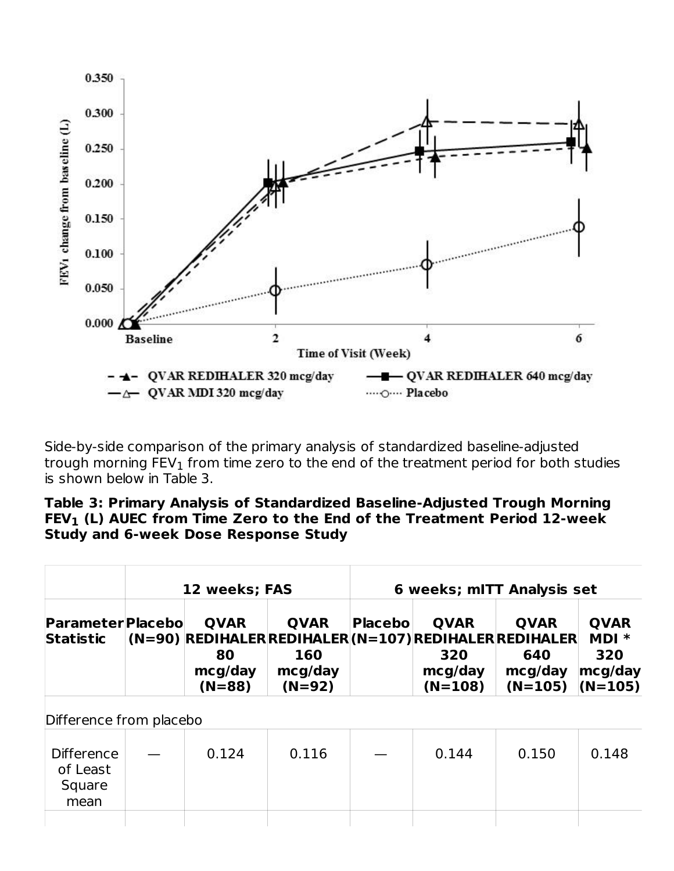

Side-by-side comparison of the primary analysis of standardized baseline-adjusted trough morning  $\mathsf{FEV}_1$  from time zero to the end of the treatment period for both studies is shown below in Table 3.

#### **Table 3: Primary Analysis of Standardized Baseline-Adjusted Trough Morning FEV (L) AUEC from Time Zero to the End of the Treatment Period 12-week 1Study and 6-week Dose Response Study**

|                                                 | 12 weeks; FAS                            |                                           | 6 weeks; mITT Analysis set |                                                                                                      |                                            |                                                       |
|-------------------------------------------------|------------------------------------------|-------------------------------------------|----------------------------|------------------------------------------------------------------------------------------------------|--------------------------------------------|-------------------------------------------------------|
| <b>Parameter Placebo</b><br><b>Statistic</b>    | <b>OVAR</b><br>80<br>mcg/day<br>$(N=88)$ | <b>OVAR</b><br>160<br>mcg/day<br>$(N=92)$ | <b>Placebol</b>            | <b>OVAR</b><br>(N=90) REDIHALER REDIHALER (N=107) REDIHALER REDIHALER<br>320<br>mcg/day<br>$(N=108)$ | <b>OVAR</b><br>640<br>mcg/day<br>$(N=105)$ | <b>QVAR</b><br>$MDI *$<br>320<br>mcg/day<br>$(N=105)$ |
| Difference from placebo                         |                                          |                                           |                            |                                                                                                      |                                            |                                                       |
| <b>Difference</b><br>of Least<br>Square<br>mean | 0.124                                    | 0.116                                     |                            | 0.144                                                                                                | 0.150                                      | 0.148                                                 |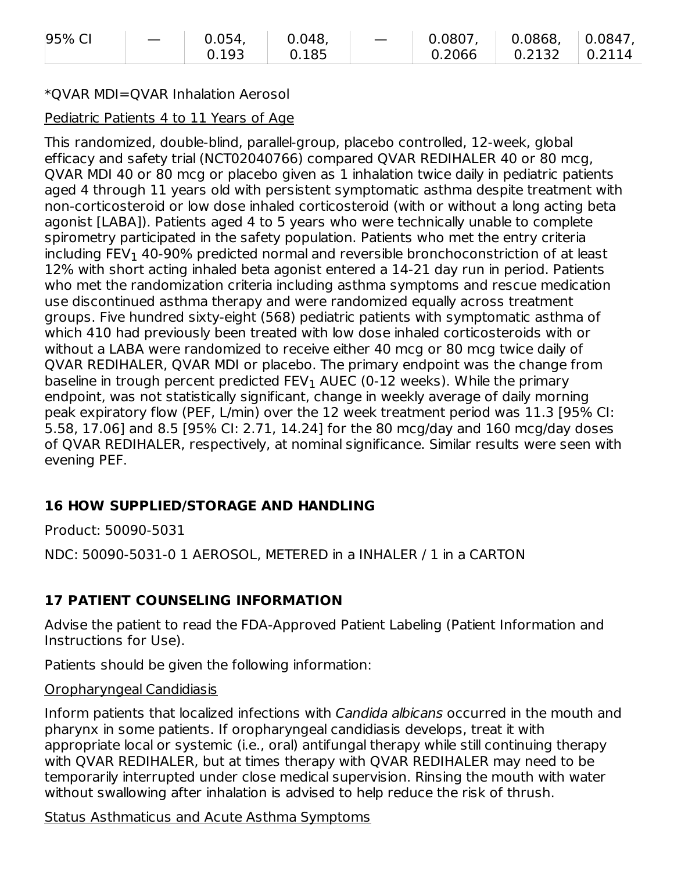| 95% CI | 0.054, | 0.048             | $0.0807$ ,                     | $\vert$ 0.0868, $\vert$ | $\perp$ 0.0847, |
|--------|--------|-------------------|--------------------------------|-------------------------|-----------------|
|        | 0.193  | $\parallel$ 0.185 | $0.2066$   $0.2132$   $0.2114$ |                         |                 |

#### \*QVAR MDI=QVAR Inhalation Aerosol

#### Pediatric Patients 4 to 11 Years of Age

This randomized, double-blind, parallel-group, placebo controlled, 12-week, global efficacy and safety trial (NCT02040766) compared QVAR REDIHALER 40 or 80 mcg, QVAR MDI 40 or 80 mcg or placebo given as 1 inhalation twice daily in pediatric patients aged 4 through 11 years old with persistent symptomatic asthma despite treatment with non-corticosteroid or low dose inhaled corticosteroid (with or without a long acting beta agonist [LABA]). Patients aged 4 to 5 years who were technically unable to complete spirometry participated in the safety population. Patients who met the entry criteria including  $\mathsf{FEV}_1$  40-90% predicted normal and reversible bronchoconstriction of at least 12% with short acting inhaled beta agonist entered a 14-21 day run in period. Patients who met the randomization criteria including asthma symptoms and rescue medication use discontinued asthma therapy and were randomized equally across treatment groups. Five hundred sixty-eight (568) pediatric patients with symptomatic asthma of which 410 had previously been treated with low dose inhaled corticosteroids with or without a LABA were randomized to receive either 40 mcg or 80 mcg twice daily of QVAR REDIHALER, QVAR MDI or placebo. The primary endpoint was the change from baseline in trough percent predicted FEV $_{\rm 1}$  AUEC (0-12 weeks). While the primary endpoint, was not statistically significant, change in weekly average of daily morning peak expiratory flow (PEF, L/min) over the 12 week treatment period was 11.3 [95% CI: 5.58, 17.06] and 8.5 [95% CI: 2.71, 14.24] for the 80 mcg/day and 160 mcg/day doses of QVAR REDIHALER, respectively, at nominal significance. Similar results were seen with evening PEF.

# **16 HOW SUPPLIED/STORAGE AND HANDLING**

Product: 50090-5031

NDC: 50090-5031-0 1 AEROSOL, METERED in a INHALER / 1 in a CARTON

# **17 PATIENT COUNSELING INFORMATION**

Advise the patient to read the FDA‑Approved Patient Labeling (Patient Information and Instructions for Use).

Patients should be given the following information:

#### Oropharyngeal Candidiasis

Inform patients that localized infections with Candida albicans occurred in the mouth and pharynx in some patients. If oropharyngeal candidiasis develops, treat it with appropriate local or systemic (i.e., oral) antifungal therapy while still continuing therapy with QVAR REDIHALER, but at times therapy with QVAR REDIHALER may need to be temporarily interrupted under close medical supervision. Rinsing the mouth with water without swallowing after inhalation is advised to help reduce the risk of thrush.

### Status Asthmaticus and Acute Asthma Symptoms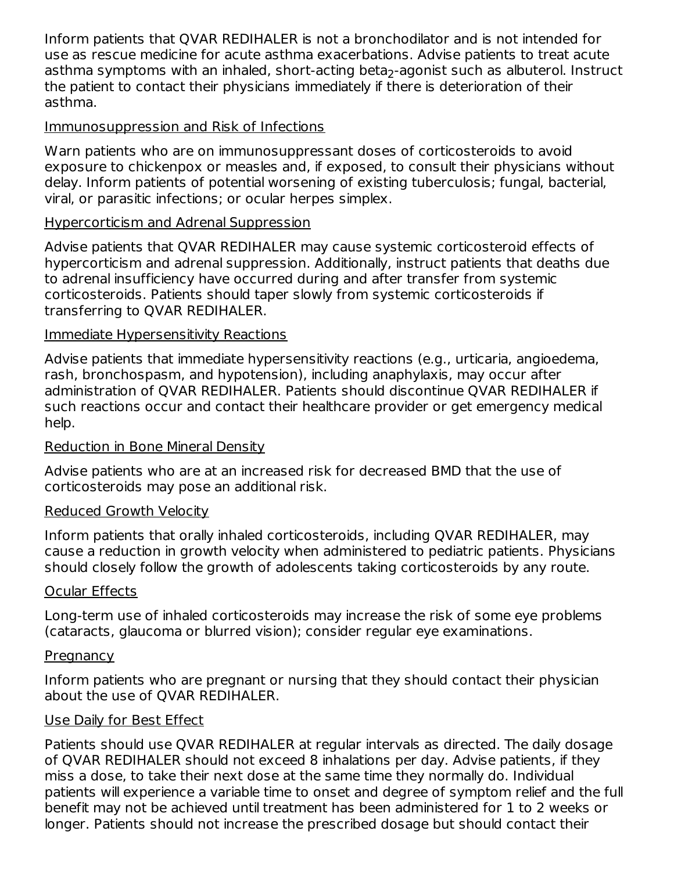Inform patients that QVAR REDIHALER is not a bronchodilator and is not intended for use as rescue medicine for acute asthma exacerbations. Advise patients to treat acute asthma symptoms with an inhaled, short-acting beta<sub>2</sub>-agonist such as albuterol. Instruct the patient to contact their physicians immediately if there is deterioration of their asthma.

### Immunosuppression and Risk of Infections

Warn patients who are on immunosuppressant doses of corticosteroids to avoid exposure to chickenpox or measles and, if exposed, to consult their physicians without delay. Inform patients of potential worsening of existing tuberculosis; fungal, bacterial, viral, or parasitic infections; or ocular herpes simplex.

### Hypercorticism and Adrenal Suppression

Advise patients that QVAR REDIHALER may cause systemic corticosteroid effects of hypercorticism and adrenal suppression. Additionally, instruct patients that deaths due to adrenal insufficiency have occurred during and after transfer from systemic corticosteroids. Patients should taper slowly from systemic corticosteroids if transferring to QVAR REDIHALER.

### Immediate Hypersensitivity Reactions

Advise patients that immediate hypersensitivity reactions (e.g., urticaria, angioedema, rash, bronchospasm, and hypotension), including anaphylaxis, may occur after administration of QVAR REDIHALER. Patients should discontinue QVAR REDIHALER if such reactions occur and contact their healthcare provider or get emergency medical help.

### Reduction in Bone Mineral Density

Advise patients who are at an increased risk for decreased BMD that the use of corticosteroids may pose an additional risk.

### Reduced Growth Velocity

Inform patients that orally inhaled corticosteroids, including QVAR REDIHALER, may cause a reduction in growth velocity when administered to pediatric patients. Physicians should closely follow the growth of adolescents taking corticosteroids by any route.

### Ocular Effects

Long-term use of inhaled corticosteroids may increase the risk of some eye problems (cataracts, glaucoma or blurred vision); consider regular eye examinations.

### **Pregnancy**

Inform patients who are pregnant or nursing that they should contact their physician about the use of QVAR REDIHALER.

### Use Daily for Best Effect

Patients should use QVAR REDIHALER at regular intervals as directed. The daily dosage of QVAR REDIHALER should not exceed 8 inhalations per day. Advise patients, if they miss a dose, to take their next dose at the same time they normally do. Individual patients will experience a variable time to onset and degree of symptom relief and the full benefit may not be achieved until treatment has been administered for 1 to 2 weeks or longer. Patients should not increase the prescribed dosage but should contact their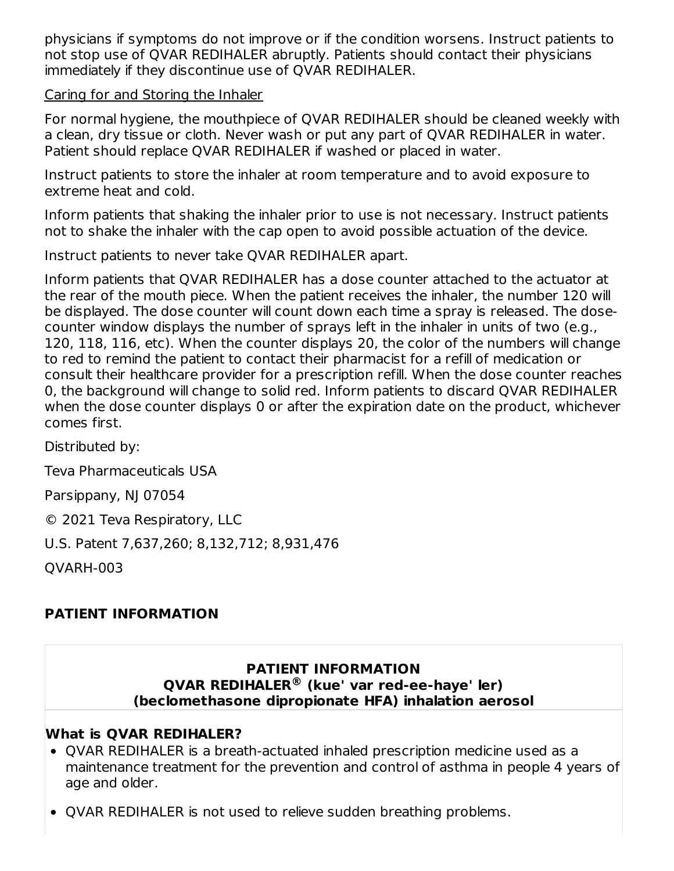physicians if symptoms do not improve or if the condition worsens. Instruct patients to not stop use of QVAR REDIHALER abruptly. Patients should contact their physicians immediately if they discontinue use of QVAR REDIHALER.

Caring for and Storing the Inhaler

For normal hygiene, the mouthpiece of QVAR REDIHALER should be cleaned weekly with a clean, dry tissue or cloth. Never wash or put any part of QVAR REDIHALER in water. Patient should replace QVAR REDIHALER if washed or placed in water.

Instruct patients to store the inhaler at room temperature and to avoid exposure to extreme heat and cold.

Inform patients that shaking the inhaler prior to use is not necessary. Instruct patients not to shake the inhaler with the cap open to avoid possible actuation of the device.

Instruct patients to never take QVAR REDIHALER apart.

Inform patients that QVAR REDIHALER has a dose counter attached to the actuator at the rear of the mouth piece. When the patient receives the inhaler, the number 120 will be displayed. The dose counter will count down each time a spray is released. The dosecounter window displays the number of sprays left in the inhaler in units of two (e.g., 120, 118, 116, etc). When the counter displays 20, the color of the numbers will change to red to remind the patient to contact their pharmacist for a refill of medication or consult their healthcare provider for a prescription refill. When the dose counter reaches 0, the background will change to solid red. Inform patients to discard QVAR REDIHALER when the dose counter displays 0 or after the expiration date on the product, whichever comes first.

Distributed by:

Teva Pharmaceuticals USA

Parsippany, NJ 07054

© 2021 Teva Respiratory, LLC

U.S. Patent 7,637,260; 8,132,712; 8,931,476

QVARH-003

# **PATIENT INFORMATION**

#### **PATIENT INFORMATION QVAR REDIHALER (kue' var red-ee-haye' ler) ®(beclomethasone dipropionate HFA) inhalation aerosol**

### **What is QVAR REDIHALER?**

- OVAR REDIHALER is a breath-actuated inhaled prescription medicine used as a maintenance treatment for the prevention and control of asthma in people 4 years of age and older.
- QVAR REDIHALER is not used to relieve sudden breathing problems.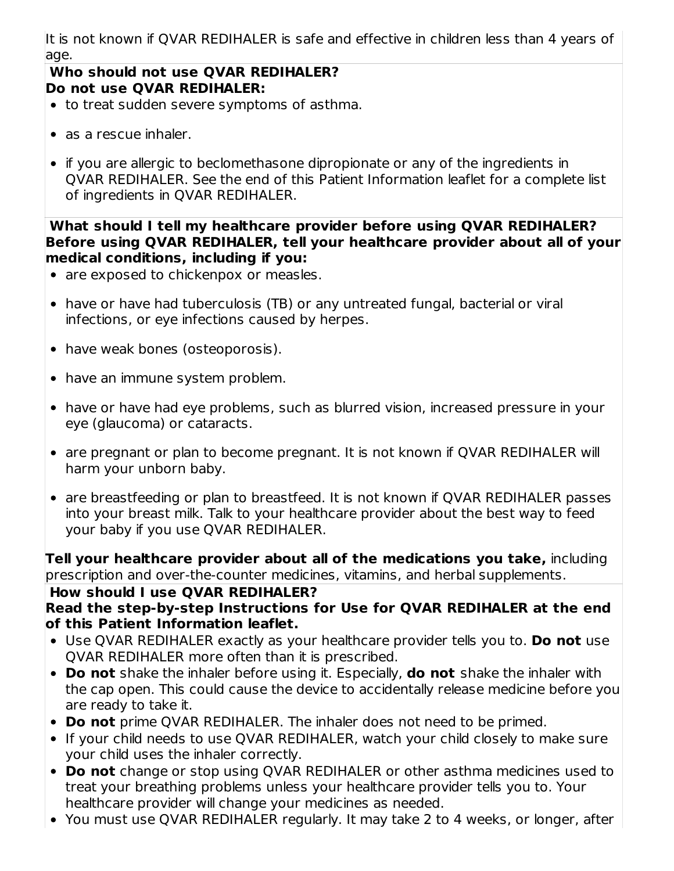It is not known if QVAR REDIHALER is safe and effective in children less than 4 years of age.

#### **Who should not use QVAR REDIHALER? Do not use QVAR REDIHALER:**

- to treat sudden severe symptoms of asthma.
- as a rescue inhaler.
- if you are allergic to beclomethasone dipropionate or any of the ingredients in QVAR REDIHALER. See the end of this Patient Information leaflet for a complete list of ingredients in QVAR REDIHALER.

#### **What should I tell my healthcare provider before using QVAR REDIHALER? Before using QVAR REDIHALER, tell your healthcare provider about all of your medical conditions, including if you:**

- are exposed to chickenpox or measles.
- have or have had tuberculosis (TB) or any untreated fungal, bacterial or viral infections, or eye infections caused by herpes.
- have weak bones (osteoporosis).
- have an immune system problem.
- have or have had eye problems, such as blurred vision, increased pressure in your eye (glaucoma) or cataracts.
- are pregnant or plan to become pregnant. It is not known if QVAR REDIHALER will harm your unborn baby.
- are breastfeeding or plan to breastfeed. It is not known if QVAR REDIHALER passes into your breast milk. Talk to your healthcare provider about the best way to feed your baby if you use QVAR REDIHALER.

**Tell your healthcare provider about all of the medications you take,** including prescription and over-the-counter medicines, vitamins, and herbal supplements.

# **How should I use QVAR REDIHALER?**

#### **Read the step-by-step Instructions for Use for QVAR REDIHALER at the end of this Patient Information leaflet.**

- Use QVAR REDIHALER exactly as your healthcare provider tells you to. **Do not** use QVAR REDIHALER more often than it is prescribed.
- **Do not** shake the inhaler before using it. Especially, **do not** shake the inhaler with the cap open. This could cause the device to accidentally release medicine before you are ready to take it.
- **Do not** prime QVAR REDIHALER. The inhaler does not need to be primed.
- If your child needs to use QVAR REDIHALER, watch your child closely to make sure your child uses the inhaler correctly.
- **Do not** change or stop using QVAR REDIHALER or other asthma medicines used to treat your breathing problems unless your healthcare provider tells you to. Your healthcare provider will change your medicines as needed.
- You must use QVAR REDIHALER regularly. It may take 2 to 4 weeks, or longer, after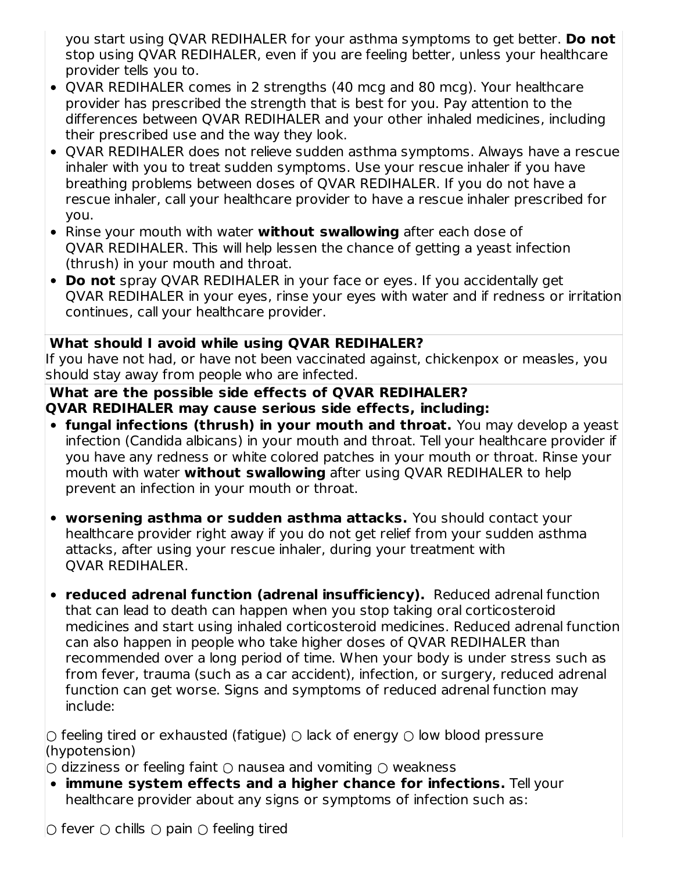you start using QVAR REDIHALER for your asthma symptoms to get better. **Do not** stop using QVAR REDIHALER, even if you are feeling better, unless your healthcare provider tells you to.

- QVAR REDIHALER comes in 2 strengths (40 mcg and 80 mcg). Your healthcare provider has prescribed the strength that is best for you. Pay attention to the differences between QVAR REDIHALER and your other inhaled medicines, including their prescribed use and the way they look.
- QVAR REDIHALER does not relieve sudden asthma symptoms. Always have a rescue inhaler with you to treat sudden symptoms. Use your rescue inhaler if you have breathing problems between doses of QVAR REDIHALER. If you do not have a rescue inhaler, call your healthcare provider to have a rescue inhaler prescribed for you.
- Rinse your mouth with water **without swallowing** after each dose of QVAR REDIHALER. This will help lessen the chance of getting a yeast infection (thrush) in your mouth and throat.
- **Do not** spray QVAR REDIHALER in your face or eyes. If you accidentally get QVAR REDIHALER in your eyes, rinse your eyes with water and if redness or irritation continues, call your healthcare provider.

### **What should I avoid while using QVAR REDIHALER?**

If you have not had, or have not been vaccinated against, chickenpox or measles, you should stay away from people who are infected.

#### **What are the possible side effects of QVAR REDIHALER? QVAR REDIHALER may cause serious side effects, including:**

- **fungal infections (thrush) in your mouth and throat.** You may develop a yeast infection (Candida albicans) in your mouth and throat. Tell your healthcare provider if you have any redness or white colored patches in your mouth or throat. Rinse your mouth with water **without swallowing** after using QVAR REDIHALER to help prevent an infection in your mouth or throat.
- **worsening asthma or sudden asthma attacks.** You should contact your healthcare provider right away if you do not get relief from your sudden asthma attacks, after using your rescue inhaler, during your treatment with QVAR REDIHALER.
- **reduced adrenal function (adrenal insufficiency).** Reduced adrenal function that can lead to death can happen when you stop taking oral corticosteroid medicines and start using inhaled corticosteroid medicines. Reduced adrenal function can also happen in people who take higher doses of QVAR REDIHALER than recommended over a long period of time. When your body is under stress such as from fever, trauma (such as a car accident), infection, or surgery, reduced adrenal function can get worse. Signs and symptoms of reduced adrenal function may include:

 $\circlearrowright$  feeling tired or exhausted (fatigue)  $\circlearrowright$  lack of energy  $\circlearrowright$  low blood pressure (hypotension)

 $\circlearrowright$  dizziness or feeling faint  $\circlearrowright$  nausea and vomiting  $\circlearrowright$  weakness

**immune system effects and a higher chance for infections.** Tell your healthcare provider about any signs or symptoms of infection such as: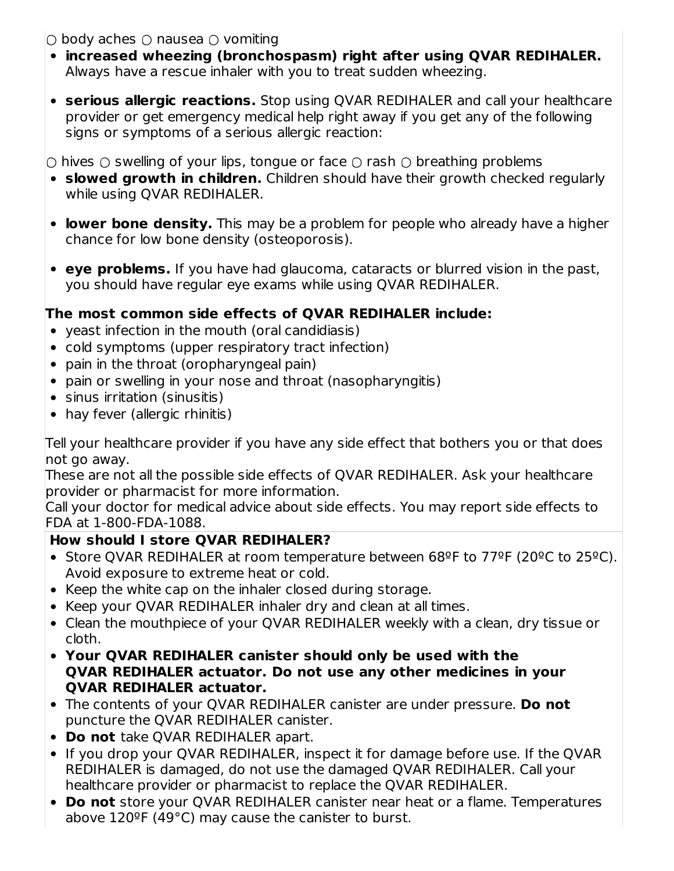$\bigcirc$  body aches  $\bigcirc$  nausea  $\bigcirc$  vomiting

- **increased wheezing (bronchospasm) right after using QVAR REDIHALER.** Always have a rescue inhaler with you to treat sudden wheezing.
- **serious allergic reactions.** Stop using QVAR REDIHALER and call your healthcare provider or get emergency medical help right away if you get any of the following signs or symptoms of a serious allergic reaction:

 $\circlearrowright$  hives  $\circlearrowright$  swelling of your lips, tongue or face  $\circlearrowright$  rash  $\circlearrowright$  breathing problems

- **slowed growth in children.** Children should have their growth checked regularly while using QVAR REDIHALER.
- **lower bone density.** This may be a problem for people who already have a higher chance for low bone density (osteoporosis).
- **eye problems.** If you have had glaucoma, cataracts or blurred vision in the past, you should have regular eye exams while using QVAR REDIHALER.

# **The most common side effects of QVAR REDIHALER include:**

- yeast infection in the mouth (oral candidiasis)
- cold symptoms (upper respiratory tract infection)
- pain in the throat (oropharyngeal pain)
- pain or swelling in your nose and throat (nasopharyngitis)
- sinus irritation (sinusitis)
- hay fever (allergic rhinitis)

Tell your healthcare provider if you have any side effect that bothers you or that does not go away.

These are not all the possible side effects of QVAR REDIHALER. Ask your healthcare provider or pharmacist for more information.

Call your doctor for medical advice about side effects. You may report side effects to FDA at 1-800-FDA-1088.

# **How should I store QVAR REDIHALER?**

- Store QVAR REDIHALER at room temperature between 68ºF to 77ºF (20ºC to 25ºC). Avoid exposure to extreme heat or cold.
- Keep the white cap on the inhaler closed during storage.
- Keep your QVAR REDIHALER inhaler dry and clean at all times.
- Clean the mouthpiece of your QVAR REDIHALER weekly with a clean, dry tissue or cloth.
- **Your QVAR REDIHALER canister should only be used with the QVAR REDIHALER actuator. Do not use any other medicines in your QVAR REDIHALER actuator.**
- The contents of your QVAR REDIHALER canister are under pressure. **Do not** puncture the QVAR REDIHALER canister.
- **Do not** take QVAR REDIHALER apart.
- If you drop your QVAR REDIHALER, inspect it for damage before use. If the QVAR REDIHALER is damaged, do not use the damaged QVAR REDIHALER. Call your healthcare provider or pharmacist to replace the QVAR REDIHALER.
- **Do not** store your QVAR REDIHALER canister near heat or a flame. Temperatures above 120ºF (49°C) may cause the canister to burst.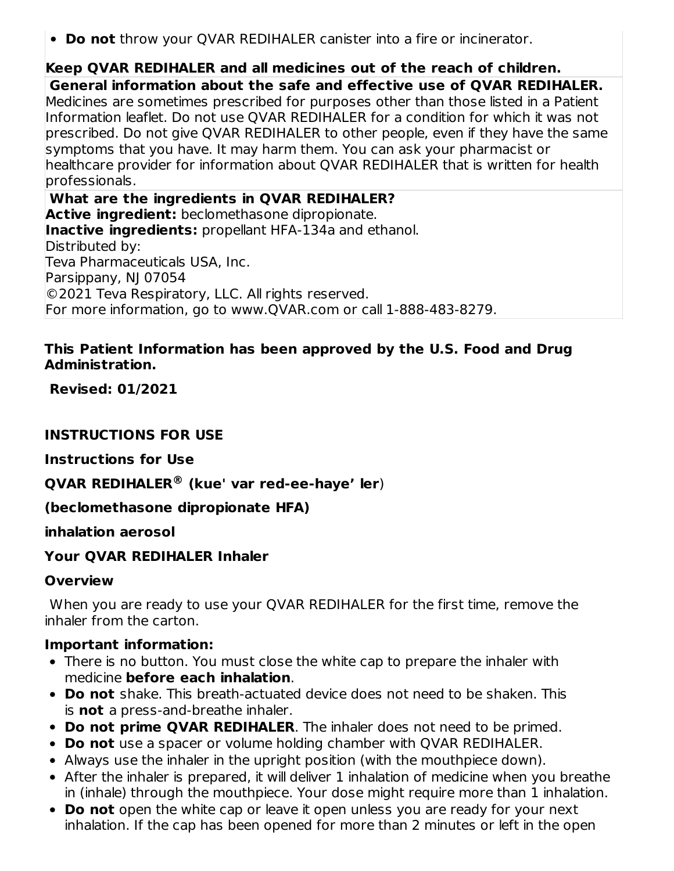**Do not** throw your QVAR REDIHALER canister into a fire or incinerator.

# **Keep QVAR REDIHALER and all medicines out of the reach of children.**

**General information about the safe and effective use of QVAR REDIHALER.** Medicines are sometimes prescribed for purposes other than those listed in a Patient Information leaflet. Do not use QVAR REDIHALER for a condition for which it was not prescribed. Do not give QVAR REDIHALER to other people, even if they have the same symptoms that you have. It may harm them. You can ask your pharmacist or healthcare provider for information about QVAR REDIHALER that is written for health professionals.

**What are the ingredients in QVAR REDIHALER? Active ingredient:** beclomethasone dipropionate. **Inactive ingredients:** propellant HFA-134a and ethanol. Distributed by: Teva Pharmaceuticals USA, Inc. Parsippany, NJ 07054 ©2021 Teva Respiratory, LLC. All rights reserved. For more information, go to www.QVAR.com or call 1-888-483-8279.

#### **This Patient Information has been approved by the U.S. Food and Drug Administration.**

**Revised: 01/2021**

### **INSTRUCTIONS FOR USE**

**Instructions for Use**

# **QVAR REDIHALER (kue' var red-ee-haye' ler**) **®**

# **(beclomethasone dipropionate HFA)**

### **inhalation aerosol**

# **Your QVAR REDIHALER Inhaler**

# **Overview**

When you are ready to use your QVAR REDIHALER for the first time, remove the inhaler from the carton.

### **Important information:**

- There is no button. You must close the white cap to prepare the inhaler with medicine **before each inhalation**.
- **Do not** shake. This breath-actuated device does not need to be shaken. This is **not** a press-and-breathe inhaler.
- **Do not prime QVAR REDIHALER**. The inhaler does not need to be primed.
- **Do not** use a spacer or volume holding chamber with QVAR REDIHALER.
- Always use the inhaler in the upright position (with the mouthpiece down).
- After the inhaler is prepared, it will deliver 1 inhalation of medicine when you breathe in (inhale) through the mouthpiece. Your dose might require more than 1 inhalation.
- **Do not** open the white cap or leave it open unless you are ready for your next inhalation. If the cap has been opened for more than 2 minutes or left in the open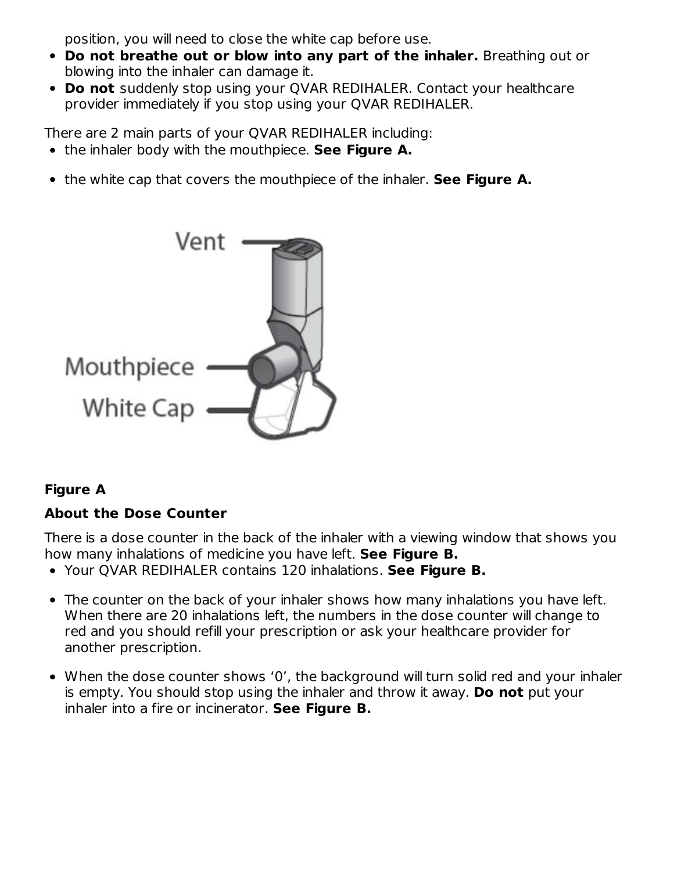position, you will need to close the white cap before use.

- **Do not breathe out or blow into any part of the inhaler.** Breathing out or blowing into the inhaler can damage it.
- **Do not** suddenly stop using your QVAR REDIHALER. Contact your healthcare provider immediately if you stop using your QVAR REDIHALER.

There are 2 main parts of your QVAR REDIHALER including:

- the inhaler body with the mouthpiece. **See Figure A.**
- the white cap that covers the mouthpiece of the inhaler. **See Figure A.**



# **Figure A**

# **About the Dose Counter**

There is a dose counter in the back of the inhaler with a viewing window that shows you how many inhalations of medicine you have left. **See Figure B.**

- Your QVAR REDIHALER contains 120 inhalations. **See Figure B.**
- The counter on the back of your inhaler shows how many inhalations you have left. When there are 20 inhalations left, the numbers in the dose counter will change to red and you should refill your prescription or ask your healthcare provider for another prescription.
- When the dose counter shows '0', the background will turn solid red and your inhaler is empty. You should stop using the inhaler and throw it away. **Do not** put your inhaler into a fire or incinerator. **See Figure B.**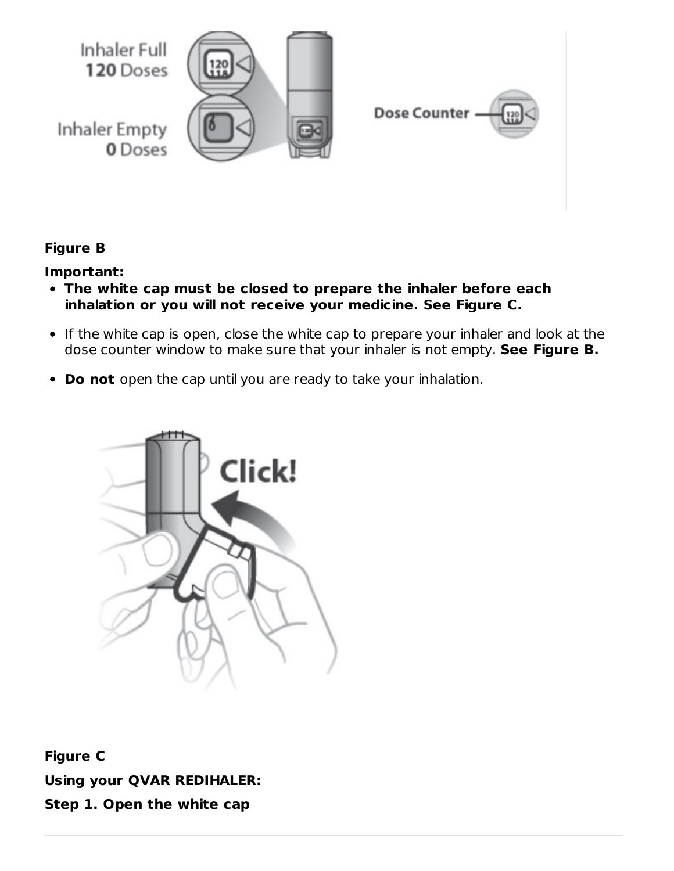

# **Figure B**

#### **Important:**

- **The white cap must be closed to prepare the inhaler before each inhalation or you will not receive your medicine. See Figure C.**
- If the white cap is open, close the white cap to prepare your inhaler and look at the dose counter window to make sure that your inhaler is not empty. **See Figure B.**
- **Do not** open the cap until you are ready to take your inhalation.



**Figure C Using your QVAR REDIHALER: Step 1. Open the white cap**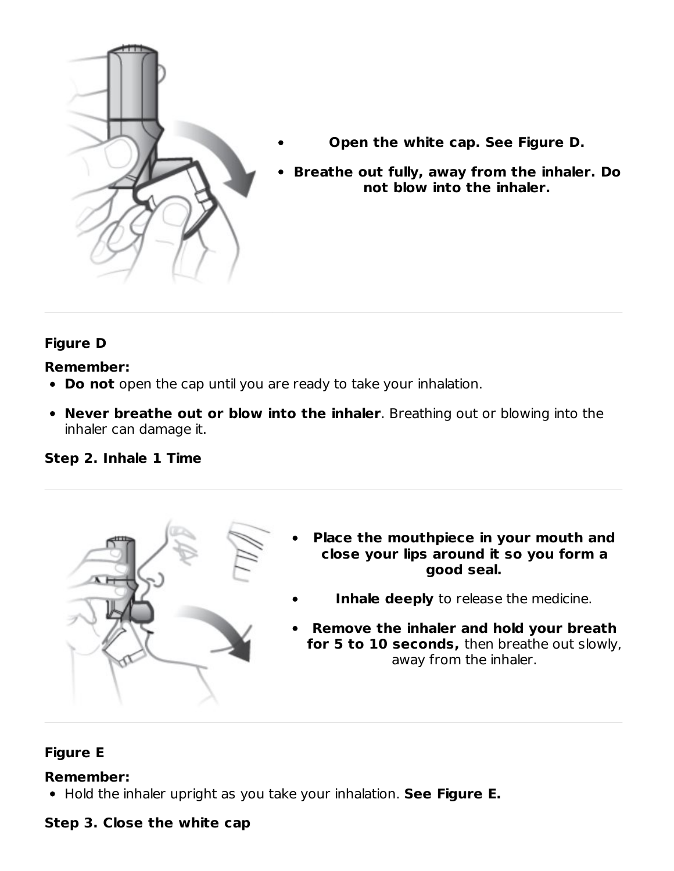

- **Open the white cap. See Figure D.**
- **Breathe out fully, away from the inhaler. Do not blow into the inhaler.**

# **Figure D**

### **Remember:**

- **Do not** open the cap until you are ready to take your inhalation.
- **Never breathe out or blow into the inhaler**. Breathing out or blowing into the inhaler can damage it.

### **Step 2. Inhale 1 Time**



- **Place the mouthpiece in your mouth and close your lips around it so you form a good seal.**
	- **Inhale deeply** to release the medicine.
- **Remove the inhaler and hold your breath for 5 to 10 seconds,** then breathe out slowly, away from the inhaler.

# **Figure E**

### **Remember:**

Hold the inhaler upright as you take your inhalation. **See Figure E.**

### **Step 3. Close the white cap**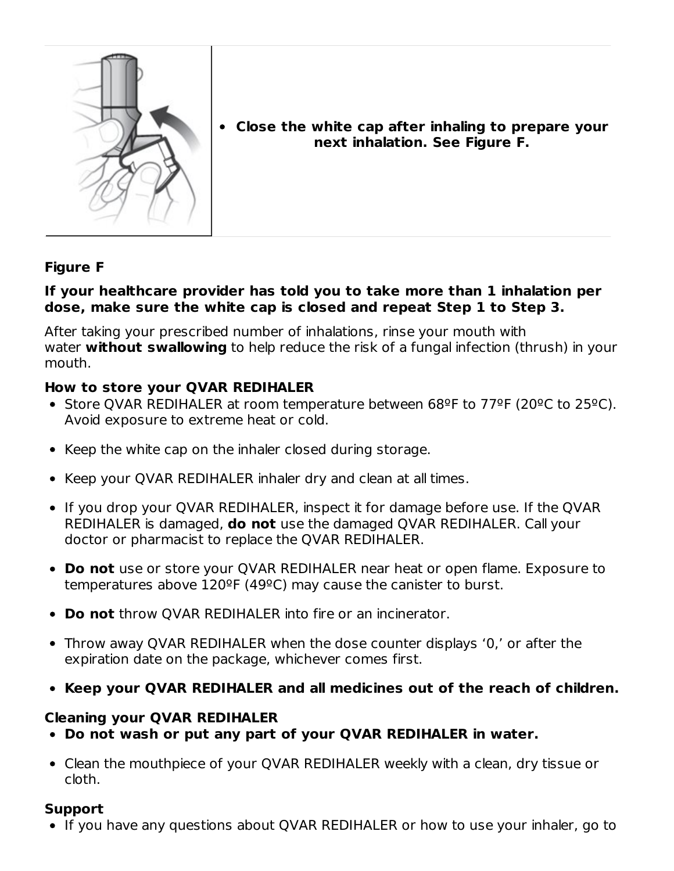

**Close the white cap after inhaling to prepare your next inhalation. See Figure F.**

# **Figure F**

#### **If your healthcare provider has told you to take more than 1 inhalation per dose, make sure the white cap is closed and repeat Step 1 to Step 3.**

After taking your prescribed number of inhalations, rinse your mouth with water **without swallowing** to help reduce the risk of a fungal infection (thrush) in your mouth.

#### **How to store your QVAR REDIHALER**

- Store QVAR REDIHALER at room temperature between 68ºF to 77ºF (20ºC to 25ºC). Avoid exposure to extreme heat or cold.
- Keep the white cap on the inhaler closed during storage.
- Keep your QVAR REDIHALER inhaler dry and clean at all times.
- If you drop your QVAR REDIHALER, inspect it for damage before use. If the QVAR REDIHALER is damaged, **do not** use the damaged QVAR REDIHALER. Call your doctor or pharmacist to replace the QVAR REDIHALER.
- **Do not** use or store your QVAR REDIHALER near heat or open flame. Exposure to temperatures above 120ºF (49ºC) may cause the canister to burst.
- **Do not** throw QVAR REDIHALER into fire or an incinerator.
- Throw away QVAR REDIHALER when the dose counter displays '0,' or after the expiration date on the package, whichever comes first.
- **Keep your QVAR REDIHALER and all medicines out of the reach of children.**

#### **Cleaning your QVAR REDIHALER**

- **Do not wash or put any part of your QVAR REDIHALER in water.**
- Clean the mouthpiece of your QVAR REDIHALER weekly with a clean, dry tissue or cloth.

### **Support**

If you have any questions about QVAR REDIHALER or how to use your inhaler, go to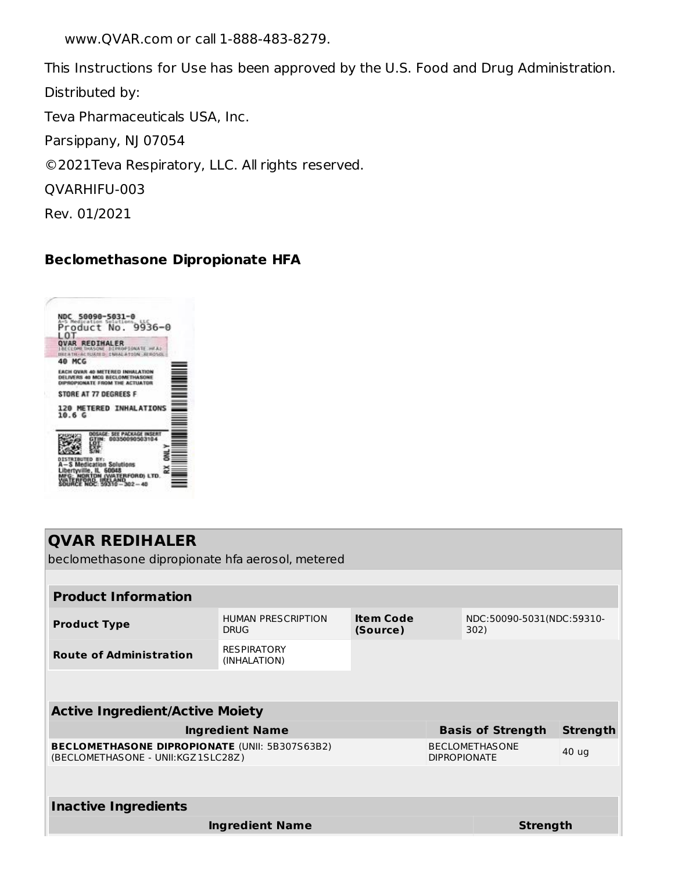www.QVAR.com or call 1-888-483-8279.

This Instructions for Use has been approved by the U.S. Food and Drug Administration. Distributed by:

Teva Pharmaceuticals USA, Inc.

Parsippany, NJ 07054

©2021Teva Respiratory, LLC. All rights reserved.

QVARHIFU-003

Rev. 01/2021

# **Beclomethasone Dipropionate HFA**



| <b>QVAR REDIHALER</b><br>beclomethasone dipropionate hfa aerosol, metered                   |                                    |                              |       |                                   |                 |  |
|---------------------------------------------------------------------------------------------|------------------------------------|------------------------------|-------|-----------------------------------|-----------------|--|
|                                                                                             |                                    |                              |       |                                   |                 |  |
| <b>Product Information</b>                                                                  |                                    |                              |       |                                   |                 |  |
| <b>Product Type</b>                                                                         | HUMAN PRESCRIPTION<br><b>DRUG</b>  | <b>Item Code</b><br>(Source) |       | NDC:50090-5031(NDC:59310-<br>302) |                 |  |
| <b>Route of Administration</b>                                                              | <b>RESPIRATORY</b><br>(INHALATION) |                              |       |                                   |                 |  |
|                                                                                             |                                    |                              |       |                                   |                 |  |
| <b>Active Ingredient/Active Moiety</b>                                                      |                                    |                              |       |                                   |                 |  |
|                                                                                             | <b>Ingredient Name</b>             |                              |       | <b>Basis of Strength</b>          | <b>Strength</b> |  |
| <b>BECLOMETHASONE DIPROPIONATE (UNII: 5B307S63B2)</b><br>(BECLOMETHASONE - UNII:KGZ1SLC28Z) | <b>DIPROPIONATE</b>                | <b>BECLOMETHASONE</b>        | 40 ug |                                   |                 |  |
|                                                                                             |                                    |                              |       |                                   |                 |  |
| <b>Inactive Ingredients</b>                                                                 |                                    |                              |       |                                   |                 |  |
|                                                                                             | <b>Ingredient Name</b>             |                              |       | <b>Strength</b>                   |                 |  |